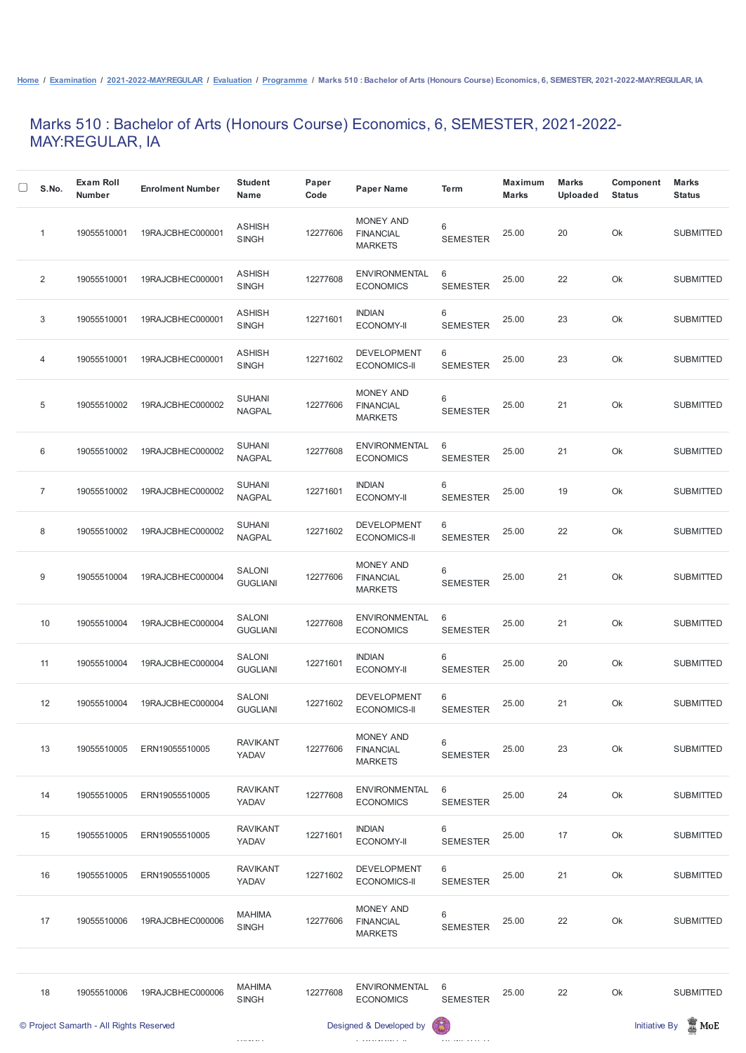## Marks 510 : Bachelor of Arts (Honours Course) Economics, 6, SEMESTER, 2021-2022- MAY:REGULAR, IA

| S.No.          | <b>Exam Roll</b><br><b>Number</b>       | <b>Enrolment Number</b> | <b>Student</b><br><b>Name</b>  | Paper<br>Code | <b>Paper Name</b>                               | <b>Term</b>          | <b>Maximum</b><br><b>Marks</b> | <b>Marks</b><br><b>Uploaded</b> | <b>Component</b><br><b>Status</b> | <b>Marks</b><br><b>Status</b> |
|----------------|-----------------------------------------|-------------------------|--------------------------------|---------------|-------------------------------------------------|----------------------|--------------------------------|---------------------------------|-----------------------------------|-------------------------------|
| 1              | 19055510001                             | 19RAJCBHEC000001        | <b>ASHISH</b><br><b>SINGH</b>  | 12277606      | MONEY AND<br><b>FINANCIAL</b><br><b>MARKETS</b> | 6<br><b>SEMESTER</b> | 25.00                          | 20                              | Ok                                | <b>SUBMITTED</b>              |
| $\overline{2}$ | 19055510001                             | 19RAJCBHEC000001        | <b>ASHISH</b><br><b>SINGH</b>  | 12277608      | <b>ENVIRONMENTAL</b><br><b>ECONOMICS</b>        | 6<br><b>SEMESTER</b> | 25.00                          | 22                              | Ok                                | <b>SUBMITTED</b>              |
| 3              | 19055510001                             | 19RAJCBHEC000001        | <b>ASHISH</b><br><b>SINGH</b>  | 12271601      | <b>INDIAN</b><br><b>ECONOMY-II</b>              | 6<br><b>SEMESTER</b> | 25.00                          | 23                              | Ok                                | <b>SUBMITTED</b>              |
| 4              | 19055510001                             | 19RAJCBHEC000001        | <b>ASHISH</b><br><b>SINGH</b>  | 12271602      | <b>DEVELOPMENT</b><br><b>ECONOMICS-II</b>       | 6<br><b>SEMESTER</b> | 25.00                          | 23                              | Ok                                | <b>SUBMITTED</b>              |
| $\sqrt{5}$     | 19055510002                             | 19RAJCBHEC000002        | <b>SUHANI</b><br><b>NAGPAL</b> | 12277606      | MONEY AND<br><b>FINANCIAL</b><br><b>MARKETS</b> | 6<br><b>SEMESTER</b> | 25.00                          | 21                              | Ok                                | <b>SUBMITTED</b>              |
| 6              | 19055510002                             | 19RAJCBHEC000002        | <b>SUHANI</b><br><b>NAGPAL</b> | 12277608      | <b>ENVIRONMENTAL</b><br><b>ECONOMICS</b>        | 6<br><b>SEMESTER</b> | 25.00                          | 21                              | Ok                                | <b>SUBMITTED</b>              |
| $\overline{7}$ | 19055510002                             | 19RAJCBHEC000002        | <b>SUHANI</b><br><b>NAGPAL</b> | 12271601      | <b>INDIAN</b><br><b>ECONOMY-II</b>              | 6<br><b>SEMESTER</b> | 25.00                          | 19                              | Ok                                | <b>SUBMITTED</b>              |
| 8              | 19055510002                             | 19RAJCBHEC000002        | <b>SUHANI</b><br><b>NAGPAL</b> | 12271602      | <b>DEVELOPMENT</b><br><b>ECONOMICS-II</b>       | 6<br><b>SEMESTER</b> | 25.00                          | 22                              | Ok                                | <b>SUBMITTED</b>              |
| 9              | 19055510004                             | 19RAJCBHEC000004        | SALONI<br><b>GUGLIANI</b>      | 12277606      | MONEY AND<br><b>FINANCIAL</b><br><b>MARKETS</b> | 6<br><b>SEMESTER</b> | 25.00                          | 21                              | Ok                                | <b>SUBMITTED</b>              |
| 10             | 19055510004                             | 19RAJCBHEC000004        | SALONI<br><b>GUGLIANI</b>      | 12277608      | <b>ENVIRONMENTAL</b><br><b>ECONOMICS</b>        | 6<br><b>SEMESTER</b> | 25.00                          | 21                              | Ok                                | <b>SUBMITTED</b>              |
| 11             | 19055510004                             | 19RAJCBHEC000004        | SALONI<br><b>GUGLIANI</b>      | 12271601      | <b>INDIAN</b><br><b>ECONOMY-II</b>              | 6<br><b>SEMESTER</b> | 25.00                          | 20                              | Ok                                | <b>SUBMITTED</b>              |
| 12             | 19055510004                             | 19RAJCBHEC000004        | SALONI<br><b>GUGLIANI</b>      | 12271602      | <b>DEVELOPMENT</b><br><b>ECONOMICS-II</b>       | 6<br><b>SEMESTER</b> | 25.00                          | 21                              | Ok                                | <b>SUBMITTED</b>              |
| 13             | 19055510005                             | ERN19055510005          | <b>RAVIKANT</b><br>YADAV       | 12277606      | MONEY AND<br><b>FINANCIAL</b><br><b>MARKETS</b> | 6<br><b>SEMESTER</b> | 25.00                          | 23                              | Ok                                | <b>SUBMITTED</b>              |
| 14             | 19055510005                             | ERN19055510005          | <b>RAVIKANT</b><br>YADAV       | 12277608      | <b>ENVIRONMENTAL</b><br><b>ECONOMICS</b>        | 6<br><b>SEMESTER</b> | 25.00                          | 24                              | Ok                                | <b>SUBMITTED</b>              |
| 15             | 19055510005                             | ERN19055510005          | <b>RAVIKANT</b><br>YADAV       | 12271601      | <b>INDIAN</b><br><b>ECONOMY-II</b>              | 6<br><b>SEMESTER</b> | 25.00                          | 17                              | Ok                                | <b>SUBMITTED</b>              |
| 16             | 19055510005                             | ERN19055510005          | <b>RAVIKANT</b><br>YADAV       | 12271602      | <b>DEVELOPMENT</b><br><b>ECONOMICS-II</b>       | 6<br><b>SEMESTER</b> | 25.00                          | 21                              | Ok                                | <b>SUBMITTED</b>              |
| 17             | 19055510006                             | 19RAJCBHEC000006        | <b>MAHIMA</b><br><b>SINGH</b>  | 12277606      | MONEY AND<br><b>FINANCIAL</b><br><b>MARKETS</b> | 6<br><b>SEMESTER</b> | 25.00                          | 22                              | Ok                                | <b>SUBMITTED</b>              |
|                |                                         |                         |                                |               |                                                 |                      |                                |                                 |                                   |                               |
| 18             | 19055510006                             | 19RAJCBHEC000006        | <b>MAHIMA</b><br><b>SINGH</b>  | 12277608      | <b>ENVIRONMENTAL</b><br><b>ECONOMICS</b>        | 6<br><b>SEMESTER</b> | 25.00                          | 22                              | Ok                                | <b>SUBMITTED</b>              |
|                | © Project Samarth - All Rights Reserved |                         |                                |               | Designed & Developed by                         |                      |                                |                                 | <b>Initiative By</b>              | $\blacksquare$ MoE            |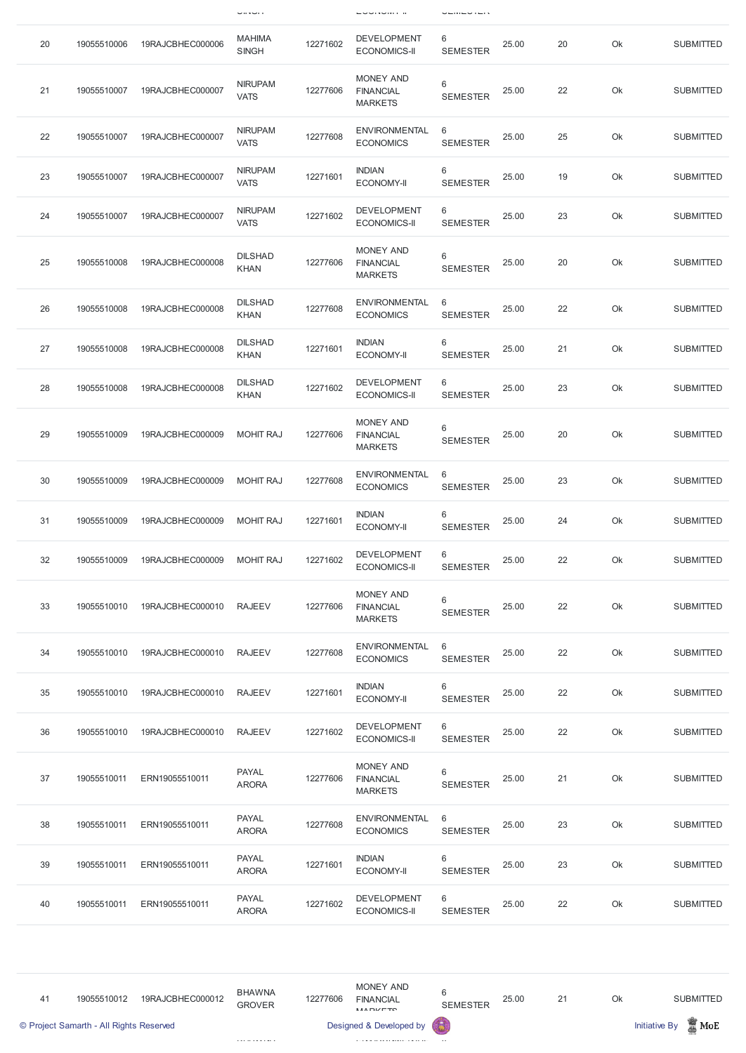|    |             |                  | $\sim$ $\sim$ $\sim$ $\sim$   |          | <b>LUURVINI II</b>                                     | ----------           |       |    |    |                  |
|----|-------------|------------------|-------------------------------|----------|--------------------------------------------------------|----------------------|-------|----|----|------------------|
| 20 | 19055510006 | 19RAJCBHEC000006 | <b>MAHIMA</b><br><b>SINGH</b> | 12271602 | <b>DEVELOPMENT</b><br><b>ECONOMICS-II</b>              | 6<br><b>SEMESTER</b> | 25.00 | 20 | Ok | <b>SUBMITTED</b> |
| 21 | 19055510007 | 19RAJCBHEC000007 | <b>NIRUPAM</b><br><b>VATS</b> | 12277606 | <b>MONEY AND</b><br><b>FINANCIAL</b><br><b>MARKETS</b> | 6<br><b>SEMESTER</b> | 25.00 | 22 | Ok | <b>SUBMITTED</b> |
| 22 | 19055510007 | 19RAJCBHEC000007 | <b>NIRUPAM</b><br><b>VATS</b> | 12277608 | <b>ENVIRONMENTAL</b><br><b>ECONOMICS</b>               | 6<br><b>SEMESTER</b> | 25.00 | 25 | Ok | <b>SUBMITTED</b> |
| 23 | 19055510007 | 19RAJCBHEC000007 | <b>NIRUPAM</b><br><b>VATS</b> | 12271601 | <b>INDIAN</b><br><b>ECONOMY-II</b>                     | 6<br><b>SEMESTER</b> | 25.00 | 19 | Ok | <b>SUBMITTED</b> |
| 24 | 19055510007 | 19RAJCBHEC000007 | <b>NIRUPAM</b><br><b>VATS</b> | 12271602 | <b>DEVELOPMENT</b><br><b>ECONOMICS-II</b>              | 6<br><b>SEMESTER</b> | 25.00 | 23 | Ok | <b>SUBMITTED</b> |
| 25 | 19055510008 | 19RAJCBHEC000008 | <b>DILSHAD</b><br><b>KHAN</b> | 12277606 | <b>MONEY AND</b><br><b>FINANCIAL</b><br><b>MARKETS</b> | 6<br><b>SEMESTER</b> | 25.00 | 20 | Ok | <b>SUBMITTED</b> |
| 26 | 19055510008 | 19RAJCBHEC000008 | <b>DILSHAD</b><br><b>KHAN</b> | 12277608 | <b>ENVIRONMENTAL</b><br><b>ECONOMICS</b>               | 6<br><b>SEMESTER</b> | 25.00 | 22 | Ok | <b>SUBMITTED</b> |
| 27 | 19055510008 | 19RAJCBHEC000008 | <b>DILSHAD</b><br><b>KHAN</b> | 12271601 | <b>INDIAN</b><br><b>ECONOMY-II</b>                     | 6<br><b>SEMESTER</b> | 25.00 | 21 | Ok | <b>SUBMITTED</b> |
| 28 | 19055510008 | 19RAJCBHEC000008 | <b>DILSHAD</b><br><b>KHAN</b> | 12271602 | <b>DEVELOPMENT</b><br><b>ECONOMICS-II</b>              | 6<br><b>SEMESTER</b> | 25.00 | 23 | Ok | <b>SUBMITTED</b> |
| 29 | 19055510009 | 19RAJCBHEC000009 | <b>MOHIT RAJ</b>              | 12277606 | <b>MONEY AND</b><br><b>FINANCIAL</b><br><b>MARKETS</b> | 6<br><b>SEMESTER</b> | 25.00 | 20 | Ok | <b>SUBMITTED</b> |
| 30 | 19055510009 | 19RAJCBHEC000009 | <b>MOHIT RAJ</b>              | 12277608 | <b>ENVIRONMENTAL</b><br><b>ECONOMICS</b>               | 6<br><b>SEMESTER</b> | 25.00 | 23 | Ok | <b>SUBMITTED</b> |
| 31 | 19055510009 | 19RAJCBHEC000009 | <b>MOHIT RAJ</b>              | 12271601 | <b>INDIAN</b><br><b>ECONOMY-II</b>                     | 6<br><b>SEMESTER</b> | 25.00 | 24 | Ok | <b>SUBMITTED</b> |
| 32 | 19055510009 | 19RAJCBHEC000009 | <b>MOHIT RAJ</b>              | 12271602 | <b>DEVELOPMENT</b><br><b>ECONOMICS-II</b>              | 6<br><b>SEMESTER</b> | 25.00 | 22 | Ok | <b>SUBMITTED</b> |
| 33 | 19055510010 | 19RAJCBHEC000010 | <b>RAJEEV</b>                 | 12277606 | <b>MONEY AND</b><br><b>FINANCIAL</b><br><b>MARKETS</b> | 6<br><b>SEMESTER</b> | 25.00 | 22 | Ok | <b>SUBMITTED</b> |
| 34 | 19055510010 | 19RAJCBHEC000010 | <b>RAJEEV</b>                 | 12277608 | <b>ENVIRONMENTAL</b><br><b>ECONOMICS</b>               | 6<br><b>SEMESTER</b> | 25.00 | 22 | Ok | <b>SUBMITTED</b> |
| 35 | 19055510010 | 19RAJCBHEC000010 | <b>RAJEEV</b>                 | 12271601 | <b>INDIAN</b><br><b>ECONOMY-II</b>                     | 6<br><b>SEMESTER</b> | 25.00 | 22 | Ok | <b>SUBMITTED</b> |
| 36 | 19055510010 | 19RAJCBHEC000010 | <b>RAJEEV</b>                 | 12271602 | <b>DEVELOPMENT</b><br><b>ECONOMICS-II</b>              | 6<br><b>SEMESTER</b> | 25.00 | 22 | Ok | <b>SUBMITTED</b> |
| 37 | 19055510011 | ERN19055510011   | <b>PAYAL</b><br><b>ARORA</b>  | 12277606 | <b>MONEY AND</b><br><b>FINANCIAL</b><br><b>MARKETS</b> | 6<br><b>SEMESTER</b> | 25.00 | 21 | Ok | <b>SUBMITTED</b> |

| 38 | 19055510011 | ERN19055510011 | <b>PAYAL</b><br><b>ARORA</b> | 12277608 | <b>ENVIRONMENTAL</b><br><b>ECONOMICS</b>  | - 6<br><b>SEMESTER</b> | 25.00 | 23 | Ok | <b>SUBMITTED</b> |
|----|-------------|----------------|------------------------------|----------|-------------------------------------------|------------------------|-------|----|----|------------------|
| 39 | 19055510011 | ERN19055510011 | <b>PAYAL</b><br><b>ARORA</b> | 12271601 | <b>INDIAN</b><br><b>ECONOMY-II</b>        | 6<br><b>SEMESTER</b>   | 25.00 | 23 | Ok | <b>SUBMITTED</b> |
| 40 | 19055510011 | ERN19055510011 | <b>PAYAL</b><br><b>ARORA</b> | 12271602 | <b>DEVELOPMENT</b><br><b>ECONOMICS-II</b> | 6<br><b>SEMESTER</b>   | 25.00 | 22 | Ok | <b>SUBMITTED</b> |

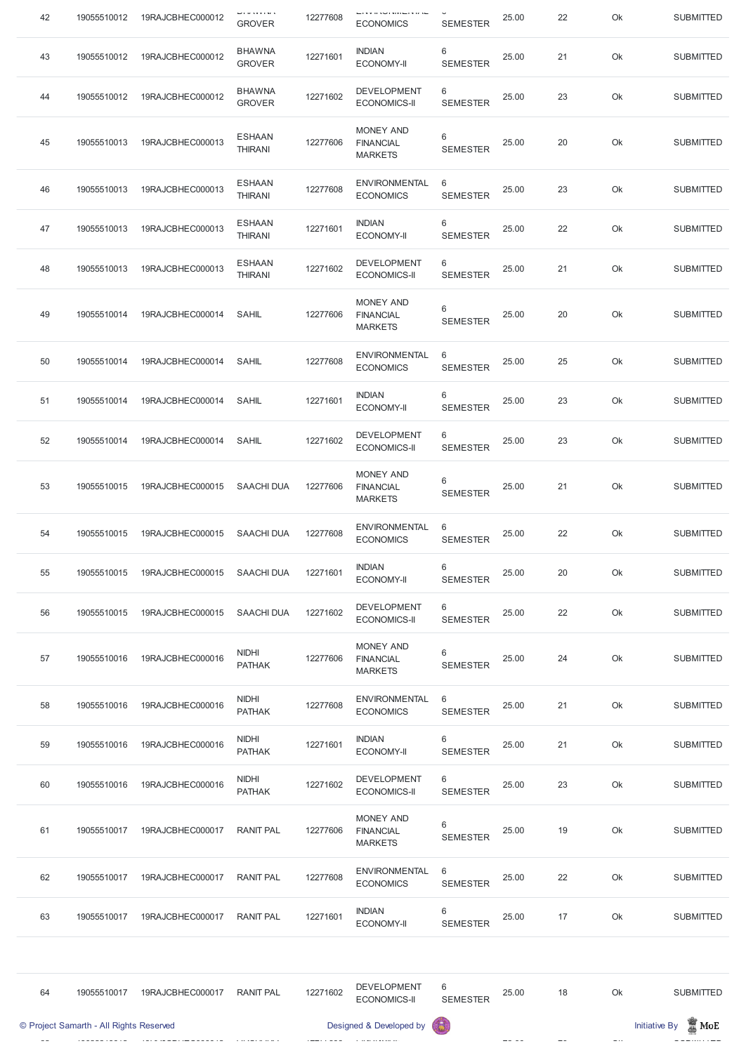| 42 | 19055510012 | 19RAJCBHEC000012 | י שוויצר שו<br><b>GROVER</b>    | 12277608 | ⊏▏▎▎▘▏▏▎░▏▏▎▎▎▏▏▏▏▏<br><b>ECONOMICS</b>                | <b>SEMESTER</b>      | 25.00 | 22 | Ok | <b>SUBMITTED</b> |
|----|-------------|------------------|---------------------------------|----------|--------------------------------------------------------|----------------------|-------|----|----|------------------|
| 43 | 19055510012 | 19RAJCBHEC000012 | <b>BHAWNA</b><br><b>GROVER</b>  | 12271601 | <b>INDIAN</b><br><b>ECONOMY-II</b>                     | 6<br><b>SEMESTER</b> | 25.00 | 21 | Ok | <b>SUBMITTED</b> |
| 44 | 19055510012 | 19RAJCBHEC000012 | <b>BHAWNA</b><br><b>GROVER</b>  | 12271602 | <b>DEVELOPMENT</b><br><b>ECONOMICS-II</b>              | 6<br><b>SEMESTER</b> | 25.00 | 23 | Ok | <b>SUBMITTED</b> |
| 45 | 19055510013 | 19RAJCBHEC000013 | <b>ESHAAN</b><br><b>THIRANI</b> | 12277606 | <b>MONEY AND</b><br><b>FINANCIAL</b><br><b>MARKETS</b> | 6<br><b>SEMESTER</b> | 25.00 | 20 | Ok | <b>SUBMITTED</b> |
| 46 | 19055510013 | 19RAJCBHEC000013 | <b>ESHAAN</b><br><b>THIRANI</b> | 12277608 | <b>ENVIRONMENTAL</b><br><b>ECONOMICS</b>               | 6<br><b>SEMESTER</b> | 25.00 | 23 | Ok | <b>SUBMITTED</b> |
| 47 | 19055510013 | 19RAJCBHEC000013 | <b>ESHAAN</b><br><b>THIRANI</b> | 12271601 | <b>INDIAN</b><br><b>ECONOMY-II</b>                     | 6<br><b>SEMESTER</b> | 25.00 | 22 | Ok | <b>SUBMITTED</b> |
| 48 | 19055510013 | 19RAJCBHEC000013 | <b>ESHAAN</b><br><b>THIRANI</b> | 12271602 | <b>DEVELOPMENT</b><br><b>ECONOMICS-II</b>              | 6<br><b>SEMESTER</b> | 25.00 | 21 | Ok | <b>SUBMITTED</b> |
| 49 | 19055510014 | 19RAJCBHEC000014 | <b>SAHIL</b>                    | 12277606 | <b>MONEY AND</b><br><b>FINANCIAL</b><br><b>MARKETS</b> | 6<br><b>SEMESTER</b> | 25.00 | 20 | Ok | <b>SUBMITTED</b> |
| 50 | 19055510014 | 19RAJCBHEC000014 | <b>SAHIL</b>                    | 12277608 | <b>ENVIRONMENTAL</b><br><b>ECONOMICS</b>               | 6<br><b>SEMESTER</b> | 25.00 | 25 | Ok | <b>SUBMITTED</b> |
| 51 | 19055510014 | 19RAJCBHEC000014 | SAHIL                           | 12271601 | <b>INDIAN</b><br><b>ECONOMY-II</b>                     | 6<br><b>SEMESTER</b> | 25.00 | 23 | Ok | <b>SUBMITTED</b> |
| 52 | 19055510014 | 19RAJCBHEC000014 | <b>SAHIL</b>                    | 12271602 | <b>DEVELOPMENT</b><br><b>ECONOMICS-II</b>              | 6<br><b>SEMESTER</b> | 25.00 | 23 | Ok | <b>SUBMITTED</b> |
| 53 | 19055510015 | 19RAJCBHEC000015 | <b>SAACHI DUA</b>               | 12277606 | <b>MONEY AND</b><br><b>FINANCIAL</b><br><b>MARKETS</b> | 6<br><b>SEMESTER</b> | 25.00 | 21 | Ok | <b>SUBMITTED</b> |
| 54 | 19055510015 | 19RAJCBHEC000015 | <b>SAACHI DUA</b>               | 12277608 | <b>ENVIRONMENTAL</b><br><b>ECONOMICS</b>               | 6<br><b>SEMESTER</b> | 25.00 | 22 | Ok | <b>SUBMITTED</b> |
| 55 | 19055510015 | 19RAJCBHEC000015 | <b>SAACHI DUA</b>               | 12271601 | <b>INDIAN</b><br><b>ECONOMY-II</b>                     | 6<br><b>SEMESTER</b> | 25.00 | 20 | Ok | <b>SUBMITTED</b> |
| 56 | 19055510015 | 19RAJCBHEC000015 | <b>SAACHI DUA</b>               | 12271602 | <b>DEVELOPMENT</b><br><b>ECONOMICS-II</b>              | 6<br><b>SEMESTER</b> | 25.00 | 22 | Ok | <b>SUBMITTED</b> |
| 57 | 19055510016 | 19RAJCBHEC000016 | <b>NIDHI</b><br><b>PATHAK</b>   | 12277606 | <b>MONEY AND</b><br><b>FINANCIAL</b><br><b>MARKETS</b> | 6<br><b>SEMESTER</b> | 25.00 | 24 | Ok | <b>SUBMITTED</b> |
| 58 | 19055510016 | 19RAJCBHEC000016 | <b>NIDHI</b><br><b>PATHAK</b>   | 12277608 | <b>ENVIRONMENTAL</b><br><b>ECONOMICS</b>               | 6<br><b>SEMESTER</b> | 25.00 | 21 | Ok | <b>SUBMITTED</b> |
| 59 | 19055510016 | 19RAJCBHEC000016 | <b>NIDHI</b><br><b>PATHAK</b>   | 12271601 | <b>INDIAN</b><br><b>ECONOMY-II</b>                     | 6<br><b>SEMESTER</b> | 25.00 | 21 | Ok | <b>SUBMITTED</b> |
| 60 | 19055510016 | 19RAJCBHEC000016 | <b>NIDHI</b><br><b>PATHAK</b>   | 12271602 | <b>DEVELOPMENT</b><br><b>ECONOMICS-II</b>              | 6<br><b>SEMESTER</b> | 25.00 | 23 | Ok | <b>SUBMITTED</b> |

| 61 | 19055510017                             | 19RAJCBHEC000017 | <b>RANIT PAL</b> | 12277606 | <b>MONEY AND</b><br><b>FINANCIAL</b><br><b>MARKETS</b> | 6<br><b>SEMESTER</b>                                                                    | 25.00 | 19 | Ok | <b>SUBMITTED</b>                           |
|----|-----------------------------------------|------------------|------------------|----------|--------------------------------------------------------|-----------------------------------------------------------------------------------------|-------|----|----|--------------------------------------------|
| 62 | 19055510017                             | 19RAJCBHEC000017 | <b>RANIT PAL</b> | 12277608 | <b>ENVIRONMENTAL</b><br><b>ECONOMICS</b>               | 6<br><b>SEMESTER</b>                                                                    | 25.00 | 22 | Ok | <b>SUBMITTED</b>                           |
| 63 | 19055510017                             | 19RAJCBHEC000017 | <b>RANIT PAL</b> | 12271601 | <b>INDIAN</b><br><b>ECONOMY-II</b>                     | 6<br><b>SEMESTER</b>                                                                    | 25.00 | 17 | Ok | <b>SUBMITTED</b>                           |
|    |                                         |                  |                  |          |                                                        |                                                                                         |       |    |    |                                            |
| 64 | 19055510017                             | 19RAJCBHEC000017 | <b>RANIT PAL</b> | 12271602 | <b>DEVELOPMENT</b><br><b>ECONOMICS-II</b>              | 6<br><b>SEMESTER</b>                                                                    | 25.00 | 18 | Ok | <b>SUBMITTED</b>                           |
|    | © Project Samarth - All Rights Reserved |                  |                  |          | Designed & Developed by                                | $\left( \begin{smallmatrix} 0 & \cdots & 0 \\ 0 & \cdots & 0 \end{smallmatrix} \right)$ |       |    |    | $\blacksquare$ MoE<br><b>Initiative By</b> |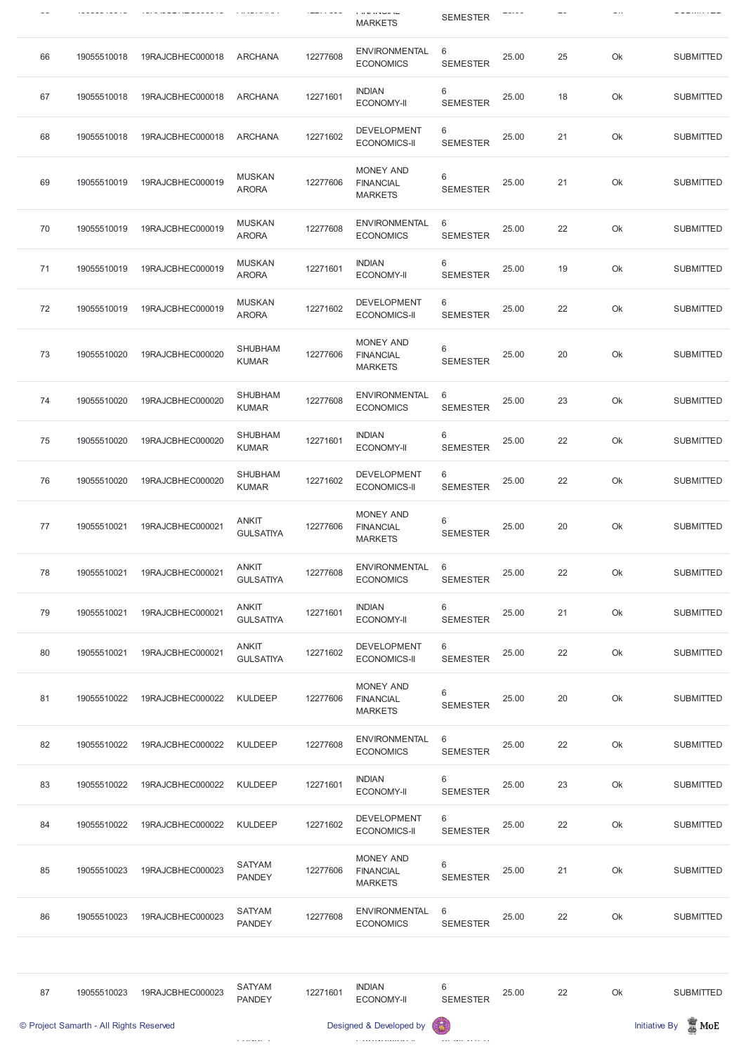|    |             |                  |                                  |          | , ,, ,, ,, ,, ,, ,<br><b>MARKETS</b>                   | <b>SEMESTER</b>      |       |    |    | ---------        |
|----|-------------|------------------|----------------------------------|----------|--------------------------------------------------------|----------------------|-------|----|----|------------------|
| 66 | 19055510018 | 19RAJCBHEC000018 | <b>ARCHANA</b>                   | 12277608 | <b>ENVIRONMENTAL</b><br><b>ECONOMICS</b>               | 6<br><b>SEMESTER</b> | 25.00 | 25 | Ok | <b>SUBMITTED</b> |
| 67 | 19055510018 | 19RAJCBHEC000018 | <b>ARCHANA</b>                   | 12271601 | <b>INDIAN</b><br><b>ECONOMY-II</b>                     | 6<br><b>SEMESTER</b> | 25.00 | 18 | Ok | <b>SUBMITTED</b> |
| 68 | 19055510018 | 19RAJCBHEC000018 | <b>ARCHANA</b>                   | 12271602 | <b>DEVELOPMENT</b><br><b>ECONOMICS-II</b>              | 6<br><b>SEMESTER</b> | 25.00 | 21 | Ok | <b>SUBMITTED</b> |
| 69 | 19055510019 | 19RAJCBHEC000019 | <b>MUSKAN</b><br><b>ARORA</b>    | 12277606 | <b>MONEY AND</b><br><b>FINANCIAL</b><br><b>MARKETS</b> | 6<br><b>SEMESTER</b> | 25.00 | 21 | Ok | <b>SUBMITTED</b> |
| 70 | 19055510019 | 19RAJCBHEC000019 | <b>MUSKAN</b><br><b>ARORA</b>    | 12277608 | <b>ENVIRONMENTAL</b><br><b>ECONOMICS</b>               | 6<br><b>SEMESTER</b> | 25.00 | 22 | Ok | <b>SUBMITTED</b> |
| 71 | 19055510019 | 19RAJCBHEC000019 | <b>MUSKAN</b><br><b>ARORA</b>    | 12271601 | <b>INDIAN</b><br><b>ECONOMY-II</b>                     | 6<br><b>SEMESTER</b> | 25.00 | 19 | Ok | <b>SUBMITTED</b> |
| 72 | 19055510019 | 19RAJCBHEC000019 | <b>MUSKAN</b><br><b>ARORA</b>    | 12271602 | <b>DEVELOPMENT</b><br><b>ECONOMICS-II</b>              | 6<br><b>SEMESTER</b> | 25.00 | 22 | Ok | <b>SUBMITTED</b> |
| 73 | 19055510020 | 19RAJCBHEC000020 | <b>SHUBHAM</b><br><b>KUMAR</b>   | 12277606 | <b>MONEY AND</b><br><b>FINANCIAL</b><br><b>MARKETS</b> | 6<br><b>SEMESTER</b> | 25.00 | 20 | Ok | <b>SUBMITTED</b> |
| 74 | 19055510020 | 19RAJCBHEC000020 | <b>SHUBHAM</b><br><b>KUMAR</b>   | 12277608 | <b>ENVIRONMENTAL</b><br><b>ECONOMICS</b>               | 6<br><b>SEMESTER</b> | 25.00 | 23 | Ok | <b>SUBMITTED</b> |
| 75 | 19055510020 | 19RAJCBHEC000020 | <b>SHUBHAM</b><br><b>KUMAR</b>   | 12271601 | <b>INDIAN</b><br><b>ECONOMY-II</b>                     | 6<br><b>SEMESTER</b> | 25.00 | 22 | Ok | <b>SUBMITTED</b> |
| 76 | 19055510020 | 19RAJCBHEC000020 | <b>SHUBHAM</b><br><b>KUMAR</b>   | 12271602 | <b>DEVELOPMENT</b><br><b>ECONOMICS-II</b>              | 6<br><b>SEMESTER</b> | 25.00 | 22 | Ok | <b>SUBMITTED</b> |
| 77 | 19055510021 | 19RAJCBHEC000021 | <b>ANKIT</b><br><b>GULSATIYA</b> | 12277606 | <b>MONEY AND</b><br><b>FINANCIAL</b><br><b>MARKETS</b> | 6<br><b>SEMESTER</b> | 25.00 | 20 | Ok | <b>SUBMITTED</b> |
| 78 | 19055510021 | 19RAJCBHEC000021 | <b>ANKIT</b><br><b>GULSATIYA</b> | 12277608 | <b>ENVIRONMENTAL</b><br><b>ECONOMICS</b>               | 6<br><b>SEMESTER</b> | 25.00 | 22 | Ok | <b>SUBMITTED</b> |
| 79 | 19055510021 | 19RAJCBHEC000021 | <b>ANKIT</b><br><b>GULSATIYA</b> | 12271601 | <b>INDIAN</b><br><b>ECONOMY-II</b>                     | 6<br><b>SEMESTER</b> | 25.00 | 21 | Ok | <b>SUBMITTED</b> |
| 80 | 19055510021 | 19RAJCBHEC000021 | <b>ANKIT</b><br><b>GULSATIYA</b> | 12271602 | <b>DEVELOPMENT</b><br><b>ECONOMICS-II</b>              | 6<br><b>SEMESTER</b> | 25.00 | 22 | Ok | <b>SUBMITTED</b> |
| 81 | 19055510022 | 19RAJCBHEC000022 | <b>KULDEEP</b>                   | 12277606 | <b>MONEY AND</b><br><b>FINANCIAL</b><br><b>MARKETS</b> | 6<br><b>SEMESTER</b> | 25.00 | 20 | Ok | <b>SUBMITTED</b> |
| 82 | 19055510022 | 19RAJCBHEC000022 | <b>KULDEEP</b>                   | 12277608 | <b>ENVIRONMENTAL</b><br><b>ECONOMICS</b>               | 6<br><b>SEMESTER</b> | 25.00 | 22 | Ok | <b>SUBMITTED</b> |
| 83 | 19055510022 | 19RAJCBHEC000022 | <b>KULDEEP</b>                   | 12271601 | <b>INDIAN</b><br><b>ECONOMY-II</b>                     | 6<br><b>SEMESTER</b> | 25.00 | 23 | Ok | <b>SUBMITTED</b> |

|    | © Project Samarth - All Rights Reserved |                  |                                |          | Designed & Developed by                                | (最)                                |       |    |    | $\blacksquare$ MoE<br><b>Initiative By</b> |
|----|-----------------------------------------|------------------|--------------------------------|----------|--------------------------------------------------------|------------------------------------|-------|----|----|--------------------------------------------|
| 87 | 19055510023                             | 19RAJCBHEC000023 | <b>SATYAM</b><br><b>PANDEY</b> | 12271601 | <b>INDIAN</b><br><b>ECONOMY-II</b>                     | $\,6\,$<br><b>SEMESTER</b>         | 25.00 | 22 | Ok | <b>SUBMITTED</b>                           |
|    |                                         |                  |                                |          |                                                        |                                    |       |    |    |                                            |
| 86 | 19055510023                             | 19RAJCBHEC000023 | <b>SATYAM</b><br><b>PANDEY</b> | 12277608 | <b>ENVIRONMENTAL</b><br><b>ECONOMICS</b>               | 6<br><b>SEMESTER</b>               | 25.00 | 22 | Ok | <b>SUBMITTED</b>                           |
| 85 | 19055510023                             | 19RAJCBHEC000023 | <b>SATYAM</b><br><b>PANDEY</b> | 12277606 | <b>MONEY AND</b><br><b>FINANCIAL</b><br><b>MARKETS</b> | 6<br><b>SEMESTER</b>               | 25.00 | 21 | Ok | <b>SUBMITTED</b>                           |
| 84 | 19055510022                             | 19RAJCBHEC000022 | <b>KULDEEP</b>                 | 12271602 | <b>DEVELOPMENT</b><br><b>ECONOMICS-II</b>              | $6\phantom{1}6$<br><b>SEMESTER</b> | 25.00 | 22 | Ok | <b>SUBMITTED</b>                           |

 $\sim$ 

 $\sim$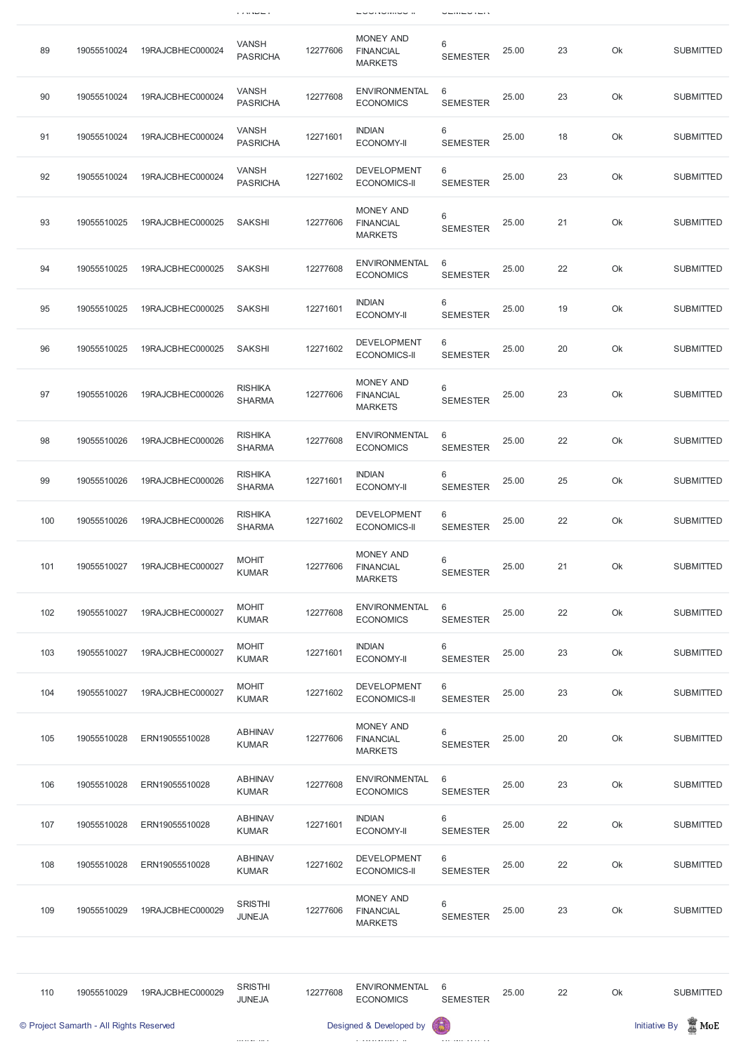|     |             |                  | $\cdots$ $\cdots$               |          | ם שטחזיטוויטט ח                                        |                            |       |    |    |                  |
|-----|-------------|------------------|---------------------------------|----------|--------------------------------------------------------|----------------------------|-------|----|----|------------------|
| 89  | 19055510024 | 19RAJCBHEC000024 | <b>VANSH</b><br><b>PASRICHA</b> | 12277606 | <b>MONEY AND</b><br><b>FINANCIAL</b><br><b>MARKETS</b> | 6<br><b>SEMESTER</b>       | 25.00 | 23 | Ok | <b>SUBMITTED</b> |
| 90  | 19055510024 | 19RAJCBHEC000024 | <b>VANSH</b><br><b>PASRICHA</b> | 12277608 | <b>ENVIRONMENTAL</b><br><b>ECONOMICS</b>               | 6<br><b>SEMESTER</b>       | 25.00 | 23 | Ok | <b>SUBMITTED</b> |
| 91  | 19055510024 | 19RAJCBHEC000024 | <b>VANSH</b><br><b>PASRICHA</b> | 12271601 | <b>INDIAN</b><br><b>ECONOMY-II</b>                     | 6<br><b>SEMESTER</b>       | 25.00 | 18 | Ok | <b>SUBMITTED</b> |
| 92  | 19055510024 | 19RAJCBHEC000024 | <b>VANSH</b><br><b>PASRICHA</b> | 12271602 | <b>DEVELOPMENT</b><br><b>ECONOMICS-II</b>              | 6<br><b>SEMESTER</b>       | 25.00 | 23 | Ok | <b>SUBMITTED</b> |
| 93  | 19055510025 | 19RAJCBHEC000025 | <b>SAKSHI</b>                   | 12277606 | <b>MONEY AND</b><br><b>FINANCIAL</b><br><b>MARKETS</b> | 6<br><b>SEMESTER</b>       | 25.00 | 21 | Ok | <b>SUBMITTED</b> |
| 94  | 19055510025 | 19RAJCBHEC000025 | <b>SAKSHI</b>                   | 12277608 | <b>ENVIRONMENTAL</b><br><b>ECONOMICS</b>               | 6<br><b>SEMESTER</b>       | 25.00 | 22 | Ok | <b>SUBMITTED</b> |
| 95  | 19055510025 | 19RAJCBHEC000025 | <b>SAKSHI</b>                   | 12271601 | <b>INDIAN</b><br><b>ECONOMY-II</b>                     | 6<br><b>SEMESTER</b>       | 25.00 | 19 | Ok | <b>SUBMITTED</b> |
| 96  | 19055510025 | 19RAJCBHEC000025 | <b>SAKSHI</b>                   | 12271602 | <b>DEVELOPMENT</b><br><b>ECONOMICS-II</b>              | 6<br><b>SEMESTER</b>       | 25.00 | 20 | Ok | <b>SUBMITTED</b> |
| 97  | 19055510026 | 19RAJCBHEC000026 | <b>RISHIKA</b><br><b>SHARMA</b> | 12277606 | <b>MONEY AND</b><br><b>FINANCIAL</b><br><b>MARKETS</b> | 6<br><b>SEMESTER</b>       | 25.00 | 23 | Ok | <b>SUBMITTED</b> |
| 98  | 19055510026 | 19RAJCBHEC000026 | <b>RISHIKA</b><br><b>SHARMA</b> | 12277608 | <b>ENVIRONMENTAL</b><br><b>ECONOMICS</b>               | 6<br><b>SEMESTER</b>       | 25.00 | 22 | Ok | <b>SUBMITTED</b> |
| 99  | 19055510026 | 19RAJCBHEC000026 | <b>RISHIKA</b><br><b>SHARMA</b> | 12271601 | <b>INDIAN</b><br><b>ECONOMY-II</b>                     | $\,6\,$<br><b>SEMESTER</b> | 25.00 | 25 | Ok | <b>SUBMITTED</b> |
| 100 | 19055510026 | 19RAJCBHEC000026 | <b>RISHIKA</b><br><b>SHARMA</b> | 12271602 | <b>DEVELOPMENT</b><br><b>ECONOMICS-II</b>              | 6<br><b>SEMESTER</b>       | 25.00 | 22 | Ok | <b>SUBMITTED</b> |
| 101 | 19055510027 | 19RAJCBHEC000027 | <b>MOHIT</b><br><b>KUMAR</b>    | 12277606 | <b>MONEY AND</b><br><b>FINANCIAL</b><br><b>MARKETS</b> | $\,6\,$<br><b>SEMESTER</b> | 25.00 | 21 | Ok | <b>SUBMITTED</b> |
| 102 | 19055510027 | 19RAJCBHEC000027 | <b>MOHIT</b><br><b>KUMAR</b>    | 12277608 | <b>ENVIRONMENTAL</b><br><b>ECONOMICS</b>               | 6<br><b>SEMESTER</b>       | 25.00 | 22 | Ok | <b>SUBMITTED</b> |
| 103 | 19055510027 | 19RAJCBHEC000027 | <b>MOHIT</b><br><b>KUMAR</b>    | 12271601 | <b>INDIAN</b><br><b>ECONOMY-II</b>                     | 6<br><b>SEMESTER</b>       | 25.00 | 23 | Ok | <b>SUBMITTED</b> |
| 104 | 19055510027 | 19RAJCBHEC000027 | <b>MOHIT</b><br><b>KUMAR</b>    | 12271602 | <b>DEVELOPMENT</b><br><b>ECONOMICS-II</b>              | 6<br><b>SEMESTER</b>       | 25.00 | 23 | Ok | <b>SUBMITTED</b> |
| 105 | 19055510028 | ERN19055510028   | <b>ABHINAV</b><br><b>KUMAR</b>  | 12277606 | <b>MONEY AND</b><br><b>FINANCIAL</b><br><b>MARKETS</b> | 6<br><b>SEMESTER</b>       | 25.00 | 20 | Ok | <b>SUBMITTED</b> |
| 106 | 19055510028 | ERN19055510028   | <b>ABHINAV</b><br><b>KUMAR</b>  | 12277608 | <b>ENVIRONMENTAL</b><br><b>ECONOMICS</b>               | 6<br><b>SEMESTER</b>       | 25.00 | 23 | Ok | <b>SUBMITTED</b> |

| 107 | 19055510028                             | ERN19055510028   | <b>ABHINAV</b><br><b>KUMAR</b>  | 12271601 | <b>INDIAN</b><br><b>ECONOMY-II</b>                     | 6<br><b>SEMESTER</b> | 25.00 | 22 | Ok | <b>SUBMITTED</b>                           |
|-----|-----------------------------------------|------------------|---------------------------------|----------|--------------------------------------------------------|----------------------|-------|----|----|--------------------------------------------|
| 108 | 19055510028                             | ERN19055510028   | <b>ABHINAV</b><br><b>KUMAR</b>  | 12271602 | <b>DEVELOPMENT</b><br><b>ECONOMICS-II</b>              | 6<br><b>SEMESTER</b> | 25.00 | 22 | Ok | <b>SUBMITTED</b>                           |
| 109 | 19055510029                             | 19RAJCBHEC000029 | <b>SRISTHI</b><br><b>JUNEJA</b> | 12277606 | <b>MONEY AND</b><br><b>FINANCIAL</b><br><b>MARKETS</b> | 6<br><b>SEMESTER</b> | 25.00 | 23 | Ok | <b>SUBMITTED</b>                           |
|     |                                         |                  |                                 |          |                                                        |                      |       |    |    |                                            |
| 110 | 19055510029                             | 19RAJCBHEC000029 | <b>SRISTHI</b><br><b>JUNEJA</b> | 12277608 | <b>ENVIRONMENTAL</b><br><b>ECONOMICS</b>               | 6<br><b>SEMESTER</b> | 25.00 | 22 | Ok | <b>SUBMITTED</b>                           |
|     | © Project Samarth - All Rights Reserved |                  |                                 |          | Designed & Developed by                                | 63                   |       |    |    | $\frac{1}{20}$ MoE<br><b>Initiative By</b> |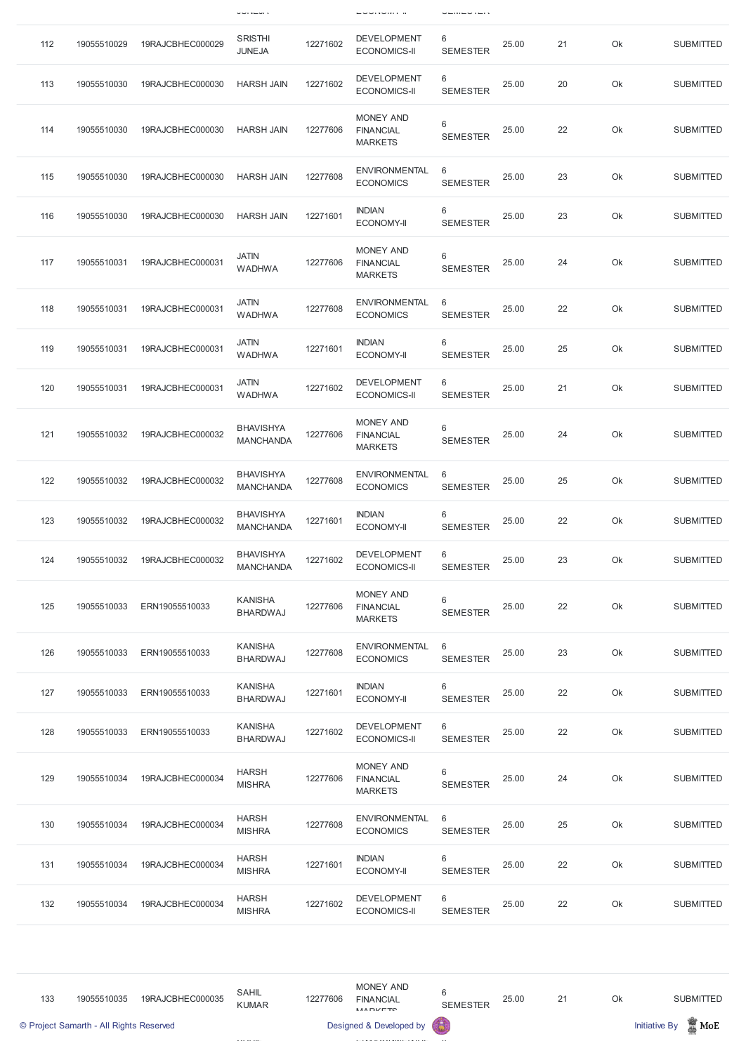|     |             |                  | $0 \cup 1$                           |          | <b>LUURVINI II</b>                                     | $\cup$               |       |    |    |                  |
|-----|-------------|------------------|--------------------------------------|----------|--------------------------------------------------------|----------------------|-------|----|----|------------------|
| 112 | 19055510029 | 19RAJCBHEC000029 | <b>SRISTHI</b><br><b>JUNEJA</b>      | 12271602 | <b>DEVELOPMENT</b><br><b>ECONOMICS-II</b>              | 6<br><b>SEMESTER</b> | 25.00 | 21 | Ok | <b>SUBMITTED</b> |
| 113 | 19055510030 | 19RAJCBHEC000030 | <b>HARSH JAIN</b>                    | 12271602 | <b>DEVELOPMENT</b><br><b>ECONOMICS-II</b>              | 6<br><b>SEMESTER</b> | 25.00 | 20 | Ok | <b>SUBMITTED</b> |
| 114 | 19055510030 | 19RAJCBHEC000030 | <b>HARSH JAIN</b>                    | 12277606 | <b>MONEY AND</b><br><b>FINANCIAL</b><br><b>MARKETS</b> | 6<br><b>SEMESTER</b> | 25.00 | 22 | Ok | <b>SUBMITTED</b> |
| 115 | 19055510030 | 19RAJCBHEC000030 | <b>HARSH JAIN</b>                    | 12277608 | <b>ENVIRONMENTAL</b><br><b>ECONOMICS</b>               | 6<br><b>SEMESTER</b> | 25.00 | 23 | Ok | <b>SUBMITTED</b> |
| 116 | 19055510030 | 19RAJCBHEC000030 | <b>HARSH JAIN</b>                    | 12271601 | <b>INDIAN</b><br><b>ECONOMY-II</b>                     | 6<br><b>SEMESTER</b> | 25.00 | 23 | Ok | <b>SUBMITTED</b> |
| 117 | 19055510031 | 19RAJCBHEC000031 | <b>JATIN</b><br><b>WADHWA</b>        | 12277606 | <b>MONEY AND</b><br><b>FINANCIAL</b><br><b>MARKETS</b> | 6<br><b>SEMESTER</b> | 25.00 | 24 | Ok | <b>SUBMITTED</b> |
| 118 | 19055510031 | 19RAJCBHEC000031 | <b>JATIN</b><br><b>WADHWA</b>        | 12277608 | <b>ENVIRONMENTAL</b><br><b>ECONOMICS</b>               | 6<br><b>SEMESTER</b> | 25.00 | 22 | Ok | <b>SUBMITTED</b> |
| 119 | 19055510031 | 19RAJCBHEC000031 | <b>JATIN</b><br><b>WADHWA</b>        | 12271601 | <b>INDIAN</b><br><b>ECONOMY-II</b>                     | 6<br><b>SEMESTER</b> | 25.00 | 25 | Ok | <b>SUBMITTED</b> |
| 120 | 19055510031 | 19RAJCBHEC000031 | <b>JATIN</b><br><b>WADHWA</b>        | 12271602 | <b>DEVELOPMENT</b><br><b>ECONOMICS-II</b>              | 6<br><b>SEMESTER</b> | 25.00 | 21 | Ok | <b>SUBMITTED</b> |
| 121 | 19055510032 | 19RAJCBHEC000032 | <b>BHAVISHYA</b><br><b>MANCHANDA</b> | 12277606 | <b>MONEY AND</b><br><b>FINANCIAL</b><br><b>MARKETS</b> | 6<br><b>SEMESTER</b> | 25.00 | 24 | Ok | <b>SUBMITTED</b> |
| 122 | 19055510032 | 19RAJCBHEC000032 | <b>BHAVISHYA</b><br><b>MANCHANDA</b> | 12277608 | <b>ENVIRONMENTAL</b><br><b>ECONOMICS</b>               | 6<br><b>SEMESTER</b> | 25.00 | 25 | Ok | <b>SUBMITTED</b> |
| 123 | 19055510032 | 19RAJCBHEC000032 | <b>BHAVISHYA</b><br><b>MANCHANDA</b> | 12271601 | <b>INDIAN</b><br><b>ECONOMY-II</b>                     | 6<br><b>SEMESTER</b> | 25.00 | 22 | Ok | <b>SUBMITTED</b> |
| 124 | 19055510032 | 19RAJCBHEC000032 | <b>BHAVISHYA</b><br><b>MANCHANDA</b> | 12271602 | <b>DEVELOPMENT</b><br><b>ECONOMICS-II</b>              | 6<br><b>SEMESTER</b> | 25.00 | 23 | Ok | <b>SUBMITTED</b> |
| 125 | 19055510033 | ERN19055510033   | <b>KANISHA</b><br><b>BHARDWAJ</b>    | 12277606 | <b>MONEY AND</b><br><b>FINANCIAL</b><br><b>MARKETS</b> | 6<br><b>SEMESTER</b> | 25.00 | 22 | Ok | <b>SUBMITTED</b> |
| 126 | 19055510033 | ERN19055510033   | <b>KANISHA</b><br><b>BHARDWAJ</b>    | 12277608 | <b>ENVIRONMENTAL</b><br><b>ECONOMICS</b>               | 6<br><b>SEMESTER</b> | 25.00 | 23 | Ok | <b>SUBMITTED</b> |
| 127 | 19055510033 | ERN19055510033   | <b>KANISHA</b><br><b>BHARDWAJ</b>    | 12271601 | <b>INDIAN</b><br><b>ECONOMY-II</b>                     | 6<br><b>SEMESTER</b> | 25.00 | 22 | Ok | <b>SUBMITTED</b> |
| 128 | 19055510033 | ERN19055510033   | <b>KANISHA</b><br><b>BHARDWAJ</b>    | 12271602 | <b>DEVELOPMENT</b><br><b>ECONOMICS-II</b>              | 6<br><b>SEMESTER</b> | 25.00 | 22 | Ok | <b>SUBMITTED</b> |
| 129 | 19055510034 | 19RAJCBHEC000034 | <b>HARSH</b><br><b>MISHRA</b>        | 12277606 | <b>MONEY AND</b><br><b>FINANCIAL</b><br><b>MARKETS</b> | 6<br><b>SEMESTER</b> | 25.00 | 24 | Ok | <b>SUBMITTED</b> |

| 130 | 19055510034 | 19RAJCBHEC000034 | <b>HARSH</b><br><b>MISHRA</b> | 12277608 | <b>ENVIRONMENTAL</b><br><b>ECONOMICS</b>  | -6<br><b>SEMESTER</b> | 25.00 | 25 | Ok | <b>SUBMITTED</b> |
|-----|-------------|------------------|-------------------------------|----------|-------------------------------------------|-----------------------|-------|----|----|------------------|
| 131 | 19055510034 | 19RAJCBHEC000034 | <b>HARSH</b><br><b>MISHRA</b> | 12271601 | <b>INDIAN</b><br><b>ECONOMY-II</b>        | 6<br><b>SEMESTER</b>  | 25.00 | 22 | Ok | <b>SUBMITTED</b> |
| 132 | 19055510034 | 19RAJCBHEC000034 | <b>HARSH</b><br><b>MISHRA</b> | 12271602 | <b>DEVELOPMENT</b><br><b>ECONOMICS-II</b> | 6<br><b>SEMESTER</b>  | 25.00 | 22 | Ok | <b>SUBMITTED</b> |

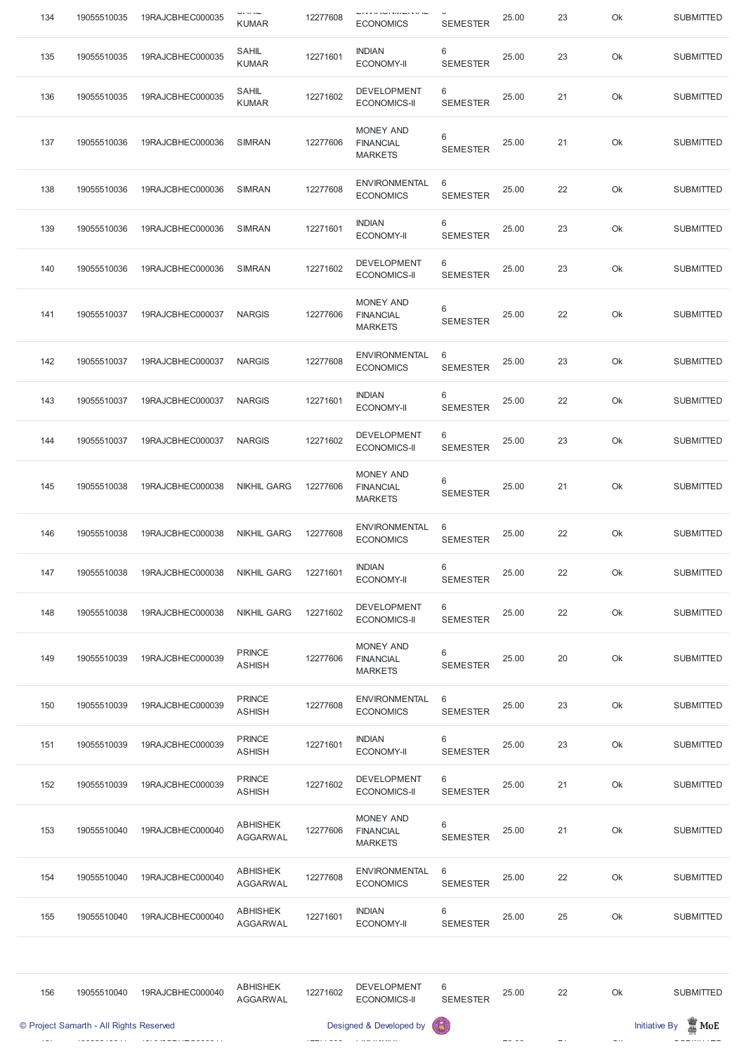| 134 | 19055510035 | 19RAJCBHEC000035 | $\cup$ $\cup$ $\cup$ $\cup$<br><b>KUMAR</b> | 12277608 | ⊏▏▎▎▘▏▏▎░▏▏▎▎▎▏▏▏▏<br><b>ECONOMICS</b>                 | <b>SEMESTER</b>      | 25.00 | 23 | Ok | <b>SUBMITTED</b> |
|-----|-------------|------------------|---------------------------------------------|----------|--------------------------------------------------------|----------------------|-------|----|----|------------------|
| 135 | 19055510035 | 19RAJCBHEC000035 | SAHIL<br><b>KUMAR</b>                       | 12271601 | <b>INDIAN</b><br><b>ECONOMY-II</b>                     | 6<br><b>SEMESTER</b> | 25.00 | 23 | Ok | <b>SUBMITTED</b> |
| 136 | 19055510035 | 19RAJCBHEC000035 | SAHIL<br><b>KUMAR</b>                       | 12271602 | <b>DEVELOPMENT</b><br><b>ECONOMICS-II</b>              | 6<br><b>SEMESTER</b> | 25.00 | 21 | Ok | <b>SUBMITTED</b> |
| 137 | 19055510036 | 19RAJCBHEC000036 | <b>SIMRAN</b>                               | 12277606 | MONEY AND<br><b>FINANCIAL</b><br><b>MARKETS</b>        | 6<br><b>SEMESTER</b> | 25.00 | 21 | Ok | <b>SUBMITTED</b> |
| 138 | 19055510036 | 19RAJCBHEC000036 | <b>SIMRAN</b>                               | 12277608 | <b>ENVIRONMENTAL</b><br><b>ECONOMICS</b>               | 6<br><b>SEMESTER</b> | 25.00 | 22 | Ok | <b>SUBMITTED</b> |
| 139 | 19055510036 | 19RAJCBHEC000036 | <b>SIMRAN</b>                               | 12271601 | <b>INDIAN</b><br><b>ECONOMY-II</b>                     | 6<br><b>SEMESTER</b> | 25.00 | 23 | Ok | <b>SUBMITTED</b> |
| 140 | 19055510036 | 19RAJCBHEC000036 | <b>SIMRAN</b>                               | 12271602 | <b>DEVELOPMENT</b><br><b>ECONOMICS-II</b>              | 6<br><b>SEMESTER</b> | 25.00 | 23 | Ok | <b>SUBMITTED</b> |
| 141 | 19055510037 | 19RAJCBHEC000037 | <b>NARGIS</b>                               | 12277606 | MONEY AND<br><b>FINANCIAL</b><br><b>MARKETS</b>        | 6<br><b>SEMESTER</b> | 25.00 | 22 | Ok | <b>SUBMITTED</b> |
| 142 | 19055510037 | 19RAJCBHEC000037 | <b>NARGIS</b>                               | 12277608 | <b>ENVIRONMENTAL</b><br><b>ECONOMICS</b>               | 6<br><b>SEMESTER</b> | 25.00 | 23 | Ok | <b>SUBMITTED</b> |
| 143 | 19055510037 | 19RAJCBHEC000037 | <b>NARGIS</b>                               | 12271601 | <b>INDIAN</b><br><b>ECONOMY-II</b>                     | 6<br><b>SEMESTER</b> | 25.00 | 22 | Ok | <b>SUBMITTED</b> |
| 144 | 19055510037 | 19RAJCBHEC000037 | <b>NARGIS</b>                               | 12271602 | <b>DEVELOPMENT</b><br><b>ECONOMICS-II</b>              | 6<br><b>SEMESTER</b> | 25.00 | 23 | Ok | <b>SUBMITTED</b> |
| 145 | 19055510038 | 19RAJCBHEC000038 | <b>NIKHIL GARG</b>                          | 12277606 | <b>MONEY AND</b><br><b>FINANCIAL</b><br><b>MARKETS</b> | 6<br><b>SEMESTER</b> | 25.00 | 21 | Ok | <b>SUBMITTED</b> |
| 146 | 19055510038 | 19RAJCBHEC000038 | <b>NIKHIL GARG</b>                          | 12277608 | <b>ENVIRONMENTAL</b><br><b>ECONOMICS</b>               | 6<br><b>SEMESTER</b> | 25.00 | 22 | Ok | <b>SUBMITTED</b> |
| 147 | 19055510038 | 19RAJCBHEC000038 | <b>NIKHIL GARG</b>                          | 12271601 | <b>INDIAN</b><br><b>ECONOMY-II</b>                     | 6<br><b>SEMESTER</b> | 25.00 | 22 | Ok | <b>SUBMITTED</b> |
| 148 | 19055510038 | 19RAJCBHEC000038 | <b>NIKHIL GARG</b>                          | 12271602 | <b>DEVELOPMENT</b><br><b>ECONOMICS-II</b>              | 6<br><b>SEMESTER</b> | 25.00 | 22 | Ok | <b>SUBMITTED</b> |
| 149 | 19055510039 | 19RAJCBHEC000039 | <b>PRINCE</b><br><b>ASHISH</b>              | 12277606 | <b>MONEY AND</b><br><b>FINANCIAL</b><br><b>MARKETS</b> | 6<br><b>SEMESTER</b> | 25.00 | 20 | Ok | <b>SUBMITTED</b> |
| 150 | 19055510039 | 19RAJCBHEC000039 | <b>PRINCE</b><br><b>ASHISH</b>              | 12277608 | <b>ENVIRONMENTAL</b><br><b>ECONOMICS</b>               | 6<br><b>SEMESTER</b> | 25.00 | 23 | Ok | <b>SUBMITTED</b> |
| 151 | 19055510039 | 19RAJCBHEC000039 | <b>PRINCE</b><br><b>ASHISH</b>              | 12271601 | <b>INDIAN</b><br><b>ECONOMY-II</b>                     | 6<br><b>SEMESTER</b> | 25.00 | 23 | Ok | <b>SUBMITTED</b> |
| 152 | 19055510039 | 19RAJCBHEC000039 | <b>PRINCE</b><br><b>ASHISH</b>              | 12271602 | <b>DEVELOPMENT</b><br><b>ECONOMICS-II</b>              | 6<br><b>SEMESTER</b> | 25.00 | 21 | Ok | <b>SUBMITTED</b> |

| 153 | 19055510040                             | 19RAJCBHEC000040 | <b>ABHISHEK</b><br><b>AGGARWAL</b> | 12277606 | <b>MONEY AND</b><br><b>FINANCIAL</b><br><b>MARKETS</b> | 6<br><b>SEMESTER</b> | 25.00 | 21 | Ok | <b>SUBMITTED</b>                           |
|-----|-----------------------------------------|------------------|------------------------------------|----------|--------------------------------------------------------|----------------------|-------|----|----|--------------------------------------------|
| 154 | 19055510040                             | 19RAJCBHEC000040 | <b>ABHISHEK</b><br><b>AGGARWAL</b> | 12277608 | <b>ENVIRONMENTAL</b><br><b>ECONOMICS</b>               | 6<br><b>SEMESTER</b> | 25.00 | 22 | Ok | <b>SUBMITTED</b>                           |
| 155 | 19055510040                             | 19RAJCBHEC000040 | <b>ABHISHEK</b><br><b>AGGARWAL</b> | 12271601 | <b>INDIAN</b><br><b>ECONOMY-II</b>                     | 6<br><b>SEMESTER</b> | 25.00 | 25 | Ok | <b>SUBMITTED</b>                           |
|     |                                         |                  |                                    |          |                                                        |                      |       |    |    |                                            |
| 156 | 19055510040                             | 19RAJCBHEC000040 | <b>ABHISHEK</b><br><b>AGGARWAL</b> | 12271602 | <b>DEVELOPMENT</b><br><b>ECONOMICS-II</b>              | 6<br><b>SEMESTER</b> | 25.00 | 22 | Ok | <b>SUBMITTED</b>                           |
|     | © Project Samarth - All Rights Reserved |                  |                                    |          | Designed & Developed by                                | 保                    |       |    |    | $\blacksquare$ MoE<br><b>Initiative By</b> |

 $\sim$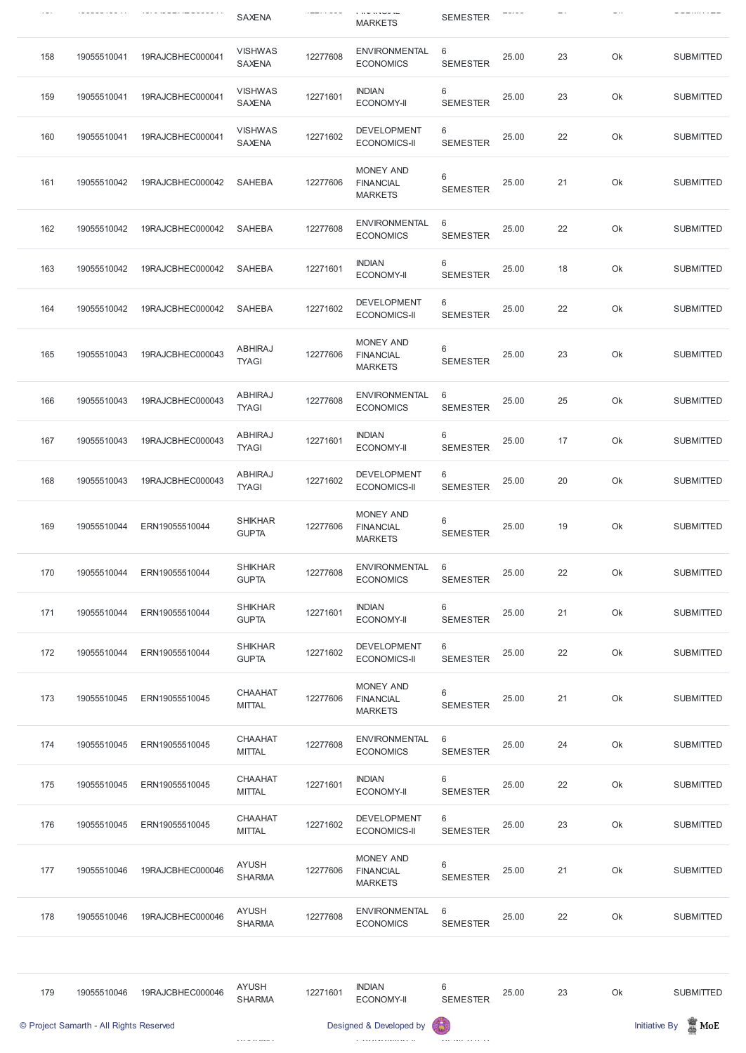|     |             | -----------      | <b>SAXENA</b>                   |          | ם משפח שם ד<br><b>MARKETS</b>                          | <b>SEMESTER</b>        |       |    |    | -                |
|-----|-------------|------------------|---------------------------------|----------|--------------------------------------------------------|------------------------|-------|----|----|------------------|
| 158 | 19055510041 | 19RAJCBHEC000041 | <b>VISHWAS</b><br><b>SAXENA</b> | 12277608 | <b>ENVIRONMENTAL</b><br><b>ECONOMICS</b>               | 6<br><b>SEMESTER</b>   | 25.00 | 23 | Ok | <b>SUBMITTED</b> |
| 159 | 19055510041 | 19RAJCBHEC000041 | <b>VISHWAS</b><br><b>SAXENA</b> | 12271601 | <b>INDIAN</b><br><b>ECONOMY-II</b>                     | 6<br><b>SEMESTER</b>   | 25.00 | 23 | Ok | <b>SUBMITTED</b> |
| 160 | 19055510041 | 19RAJCBHEC000041 | <b>VISHWAS</b><br>SAXENA        | 12271602 | <b>DEVELOPMENT</b><br><b>ECONOMICS-II</b>              | 6<br><b>SEMESTER</b>   | 25.00 | 22 | Ok | <b>SUBMITTED</b> |
| 161 | 19055510042 | 19RAJCBHEC000042 | <b>SAHEBA</b>                   | 12277606 | MONEY AND<br><b>FINANCIAL</b><br><b>MARKETS</b>        | 6<br><b>SEMESTER</b>   | 25.00 | 21 | Ok | <b>SUBMITTED</b> |
| 162 | 19055510042 | 19RAJCBHEC000042 | <b>SAHEBA</b>                   | 12277608 | <b>ENVIRONMENTAL</b><br><b>ECONOMICS</b>               | 6<br><b>SEMESTER</b>   | 25.00 | 22 | Ok | <b>SUBMITTED</b> |
| 163 | 19055510042 | 19RAJCBHEC000042 | <b>SAHEBA</b>                   | 12271601 | <b>INDIAN</b><br><b>ECONOMY-II</b>                     | 6<br><b>SEMESTER</b>   | 25.00 | 18 | Ok | <b>SUBMITTED</b> |
| 164 | 19055510042 | 19RAJCBHEC000042 | <b>SAHEBA</b>                   | 12271602 | <b>DEVELOPMENT</b><br><b>ECONOMICS-II</b>              | 6<br><b>SEMESTER</b>   | 25.00 | 22 | Ok | <b>SUBMITTED</b> |
| 165 | 19055510043 | 19RAJCBHEC000043 | <b>ABHIRAJ</b><br><b>TYAGI</b>  | 12277606 | <b>MONEY AND</b><br><b>FINANCIAL</b><br><b>MARKETS</b> | 6<br><b>SEMESTER</b>   | 25.00 | 23 | Ok | <b>SUBMITTED</b> |
| 166 | 19055510043 | 19RAJCBHEC000043 | <b>ABHIRAJ</b><br><b>TYAGI</b>  | 12277608 | <b>ENVIRONMENTAL</b><br><b>ECONOMICS</b>               | - 6<br><b>SEMESTER</b> | 25.00 | 25 | Ok | <b>SUBMITTED</b> |
| 167 | 19055510043 | 19RAJCBHEC000043 | ABHIRAJ<br><b>TYAGI</b>         | 12271601 | <b>INDIAN</b><br><b>ECONOMY-II</b>                     | 6<br><b>SEMESTER</b>   | 25.00 | 17 | Ok | <b>SUBMITTED</b> |
| 168 | 19055510043 | 19RAJCBHEC000043 | <b>ABHIRAJ</b><br><b>TYAGI</b>  | 12271602 | <b>DEVELOPMENT</b><br><b>ECONOMICS-II</b>              | 6<br><b>SEMESTER</b>   | 25.00 | 20 | Ok | <b>SUBMITTED</b> |
| 169 | 19055510044 | ERN19055510044   | <b>SHIKHAR</b><br><b>GUPTA</b>  | 12277606 | <b>MONEY AND</b><br><b>FINANCIAL</b><br><b>MARKETS</b> | 6<br><b>SEMESTER</b>   | 25.00 | 19 | Ok | <b>SUBMITTED</b> |
| 170 | 19055510044 | ERN19055510044   | <b>SHIKHAR</b><br><b>GUPTA</b>  | 12277608 | <b>ENVIRONMENTAL</b><br><b>ECONOMICS</b>               | 6<br><b>SEMESTER</b>   | 25.00 | 22 | Ok | <b>SUBMITTED</b> |
| 171 | 19055510044 | ERN19055510044   | <b>SHIKHAR</b><br><b>GUPTA</b>  | 12271601 | <b>INDIAN</b><br><b>ECONOMY-II</b>                     | 6<br><b>SEMESTER</b>   | 25.00 | 21 | Ok | <b>SUBMITTED</b> |
| 172 | 19055510044 | ERN19055510044   | <b>SHIKHAR</b><br><b>GUPTA</b>  | 12271602 | <b>DEVELOPMENT</b><br><b>ECONOMICS-II</b>              | 6<br><b>SEMESTER</b>   | 25.00 | 22 | Ok | <b>SUBMITTED</b> |
| 173 | 19055510045 | ERN19055510045   | <b>CHAAHAT</b><br><b>MITTAL</b> | 12277606 | <b>MONEY AND</b><br><b>FINANCIAL</b><br><b>MARKETS</b> | 6<br><b>SEMESTER</b>   | 25.00 | 21 | Ok | <b>SUBMITTED</b> |
| 174 | 19055510045 | ERN19055510045   | <b>CHAAHAT</b><br><b>MITTAL</b> | 12277608 | <b>ENVIRONMENTAL</b><br><b>ECONOMICS</b>               | 6<br><b>SEMESTER</b>   | 25.00 | 24 | Ok | <b>SUBMITTED</b> |
| 175 | 19055510045 | ERN19055510045   | <b>CHAAHAT</b><br><b>MITTAL</b> | 12271601 | <b>INDIAN</b><br><b>ECONOMY-II</b>                     | 6<br><b>SEMESTER</b>   | 25.00 | 22 | Ok | <b>SUBMITTED</b> |

| 176 | 19055510045                             | ERN19055510045   | <b>CHAAHAT</b><br><b>MITTAL</b> | 12271602 | <b>DEVELOPMENT</b><br><b>ECONOMICS-II</b>              | 6<br><b>SEMESTER</b> | 25.00 | 23 | Ok | <b>SUBMITTED</b>                           |
|-----|-----------------------------------------|------------------|---------------------------------|----------|--------------------------------------------------------|----------------------|-------|----|----|--------------------------------------------|
| 177 | 19055510046                             | 19RAJCBHEC000046 | <b>AYUSH</b><br><b>SHARMA</b>   | 12277606 | <b>MONEY AND</b><br><b>FINANCIAL</b><br><b>MARKETS</b> | 6<br><b>SEMESTER</b> | 25.00 | 21 | Ok | <b>SUBMITTED</b>                           |
| 178 | 19055510046                             | 19RAJCBHEC000046 | <b>AYUSH</b><br><b>SHARMA</b>   | 12277608 | <b>ENVIRONMENTAL</b><br><b>ECONOMICS</b>               | 6<br><b>SEMESTER</b> | 25.00 | 22 | Ok | <b>SUBMITTED</b>                           |
|     |                                         |                  |                                 |          |                                                        |                      |       |    |    |                                            |
| 179 | 19055510046                             | 19RAJCBHEC000046 | <b>AYUSH</b><br><b>SHARMA</b>   | 12271601 | <b>INDIAN</b><br><b>ECONOMY-II</b>                     | 6<br><b>SEMESTER</b> | 25.00 | 23 | Ok | <b>SUBMITTED</b>                           |
|     | © Project Samarth - All Rights Reserved |                  |                                 |          | Designed & Developed by (                              |                      |       |    |    | $\blacksquare$ MoE<br><b>Initiative By</b> |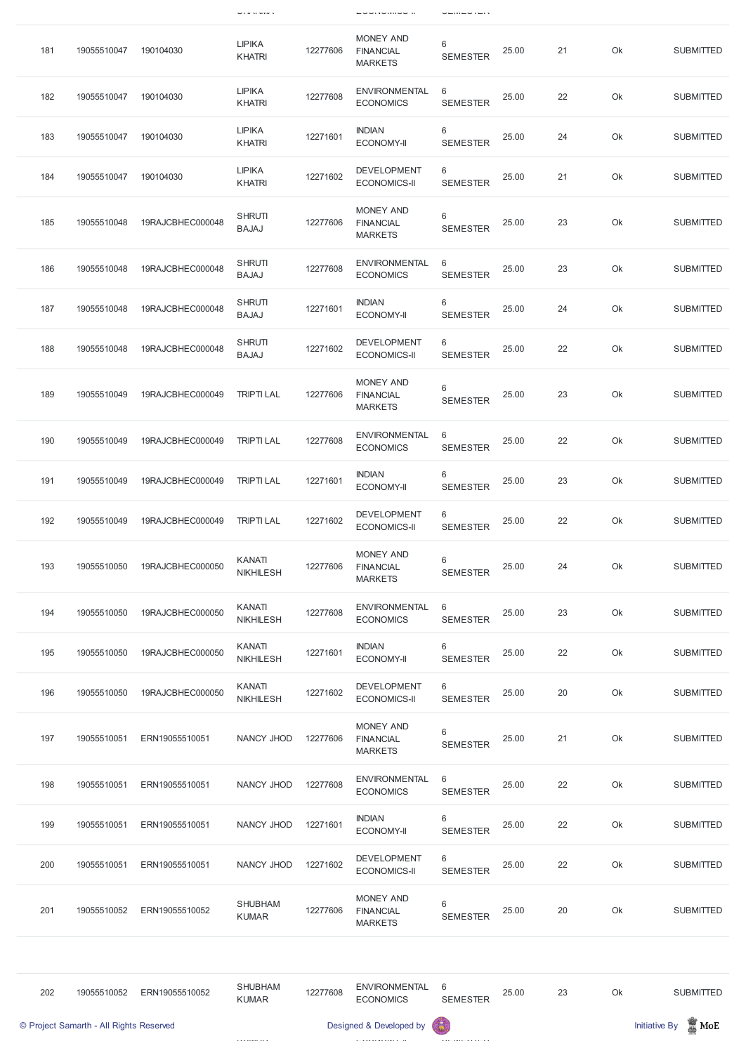|     |             |                  | $\cup$ i ii vi vivir v            |          | … oommonder                                            |                      |       |    |    |                  |
|-----|-------------|------------------|-----------------------------------|----------|--------------------------------------------------------|----------------------|-------|----|----|------------------|
| 181 | 19055510047 | 190104030        | <b>LIPIKA</b><br><b>KHATRI</b>    | 12277606 | MONEY AND<br><b>FINANCIAL</b><br><b>MARKETS</b>        | 6<br><b>SEMESTER</b> | 25.00 | 21 | Ok | <b>SUBMITTED</b> |
| 182 | 19055510047 | 190104030        | <b>LIPIKA</b><br><b>KHATRI</b>    | 12277608 | <b>ENVIRONMENTAL</b><br><b>ECONOMICS</b>               | 6<br><b>SEMESTER</b> | 25.00 | 22 | Ok | <b>SUBMITTED</b> |
| 183 | 19055510047 | 190104030        | <b>LIPIKA</b><br><b>KHATRI</b>    | 12271601 | <b>INDIAN</b><br><b>ECONOMY-II</b>                     | 6<br><b>SEMESTER</b> | 25.00 | 24 | Ok | <b>SUBMITTED</b> |
| 184 | 19055510047 | 190104030        | <b>LIPIKA</b><br><b>KHATRI</b>    | 12271602 | <b>DEVELOPMENT</b><br><b>ECONOMICS-II</b>              | 6<br><b>SEMESTER</b> | 25.00 | 21 | Ok | <b>SUBMITTED</b> |
| 185 | 19055510048 | 19RAJCBHEC000048 | <b>SHRUTI</b><br><b>BAJAJ</b>     | 12277606 | <b>MONEY AND</b><br><b>FINANCIAL</b><br><b>MARKETS</b> | 6<br><b>SEMESTER</b> | 25.00 | 23 | Ok | <b>SUBMITTED</b> |
| 186 | 19055510048 | 19RAJCBHEC000048 | <b>SHRUTI</b><br><b>BAJAJ</b>     | 12277608 | <b>ENVIRONMENTAL</b><br><b>ECONOMICS</b>               | 6<br><b>SEMESTER</b> | 25.00 | 23 | Ok | <b>SUBMITTED</b> |
| 187 | 19055510048 | 19RAJCBHEC000048 | <b>SHRUTI</b><br><b>BAJAJ</b>     | 12271601 | <b>INDIAN</b><br><b>ECONOMY-II</b>                     | 6<br><b>SEMESTER</b> | 25.00 | 24 | Ok | <b>SUBMITTED</b> |
| 188 | 19055510048 | 19RAJCBHEC000048 | <b>SHRUTI</b><br><b>BAJAJ</b>     | 12271602 | <b>DEVELOPMENT</b><br><b>ECONOMICS-II</b>              | 6<br><b>SEMESTER</b> | 25.00 | 22 | Ok | <b>SUBMITTED</b> |
| 189 | 19055510049 | 19RAJCBHEC000049 | <b>TRIPTI LAL</b>                 | 12277606 | <b>MONEY AND</b><br><b>FINANCIAL</b><br><b>MARKETS</b> | 6<br><b>SEMESTER</b> | 25.00 | 23 | Ok | <b>SUBMITTED</b> |
| 190 | 19055510049 | 19RAJCBHEC000049 | <b>TRIPTI LAL</b>                 | 12277608 | <b>ENVIRONMENTAL</b><br><b>ECONOMICS</b>               | 6<br><b>SEMESTER</b> | 25.00 | 22 | Ok | <b>SUBMITTED</b> |
| 191 | 19055510049 | 19RAJCBHEC000049 | <b>TRIPTI LAL</b>                 | 12271601 | <b>INDIAN</b><br><b>ECONOMY-II</b>                     | 6<br><b>SEMESTER</b> | 25.00 | 23 | Ok | <b>SUBMITTED</b> |
| 192 | 19055510049 | 19RAJCBHEC000049 | <b>TRIPTI LAL</b>                 | 12271602 | <b>DEVELOPMENT</b><br><b>ECONOMICS-II</b>              | 6<br><b>SEMESTER</b> | 25.00 | 22 | Ok | <b>SUBMITTED</b> |
| 193 | 19055510050 | 19RAJCBHEC000050 | <b>KANATI</b><br><b>NIKHILESH</b> | 12277606 | MONEY AND<br><b>FINANCIAL</b><br><b>MARKETS</b>        | 6<br><b>SEMESTER</b> | 25.00 | 24 | Ok | <b>SUBMITTED</b> |
| 194 | 19055510050 | 19RAJCBHEC000050 | <b>KANATI</b><br><b>NIKHILESH</b> | 12277608 | <b>ENVIRONMENTAL</b><br><b>ECONOMICS</b>               | 6<br><b>SEMESTER</b> | 25.00 | 23 | Ok | <b>SUBMITTED</b> |
| 195 | 19055510050 | 19RAJCBHEC000050 | <b>KANATI</b><br><b>NIKHILESH</b> | 12271601 | <b>INDIAN</b><br><b>ECONOMY-II</b>                     | 6<br><b>SEMESTER</b> | 25.00 | 22 | Ok | <b>SUBMITTED</b> |
| 196 | 19055510050 | 19RAJCBHEC000050 | <b>KANATI</b><br><b>NIKHILESH</b> | 12271602 | <b>DEVELOPMENT</b><br><b>ECONOMICS-II</b>              | 6<br><b>SEMESTER</b> | 25.00 | 20 | Ok | <b>SUBMITTED</b> |
| 197 | 19055510051 | ERN19055510051   | NANCY JHOD                        | 12277606 | <b>MONEY AND</b><br><b>FINANCIAL</b><br><b>MARKETS</b> | 6<br><b>SEMESTER</b> | 25.00 | 21 | Ok | <b>SUBMITTED</b> |
| 198 | 19055510051 | ERN19055510051   | NANCY JHOD                        | 12277608 | <b>ENVIRONMENTAL</b><br><b>ECONOMICS</b>               | 6<br><b>SEMESTER</b> | 25.00 | 22 | Ok | <b>SUBMITTED</b> |

|     |                                         |                | <b>KUMAR</b>                   |          | <b>MARKETS</b>                           | <b>SEMESTER</b>      |       |    |    |                                            |
|-----|-----------------------------------------|----------------|--------------------------------|----------|------------------------------------------|----------------------|-------|----|----|--------------------------------------------|
| 202 | 19055510052                             | ERN19055510052 | <b>SHUBHAM</b><br><b>KUMAR</b> | 12277608 | <b>ENVIRONMENTAL</b><br><b>ECONOMICS</b> | 6<br><b>SEMESTER</b> | 25.00 | 23 | Ok | <b>SUBMITTED</b>                           |
|     | © Project Samarth - All Rights Reserved |                |                                |          | Designed & Developed by                  |                      |       |    |    | $\blacksquare$ MoE<br><b>Initiative By</b> |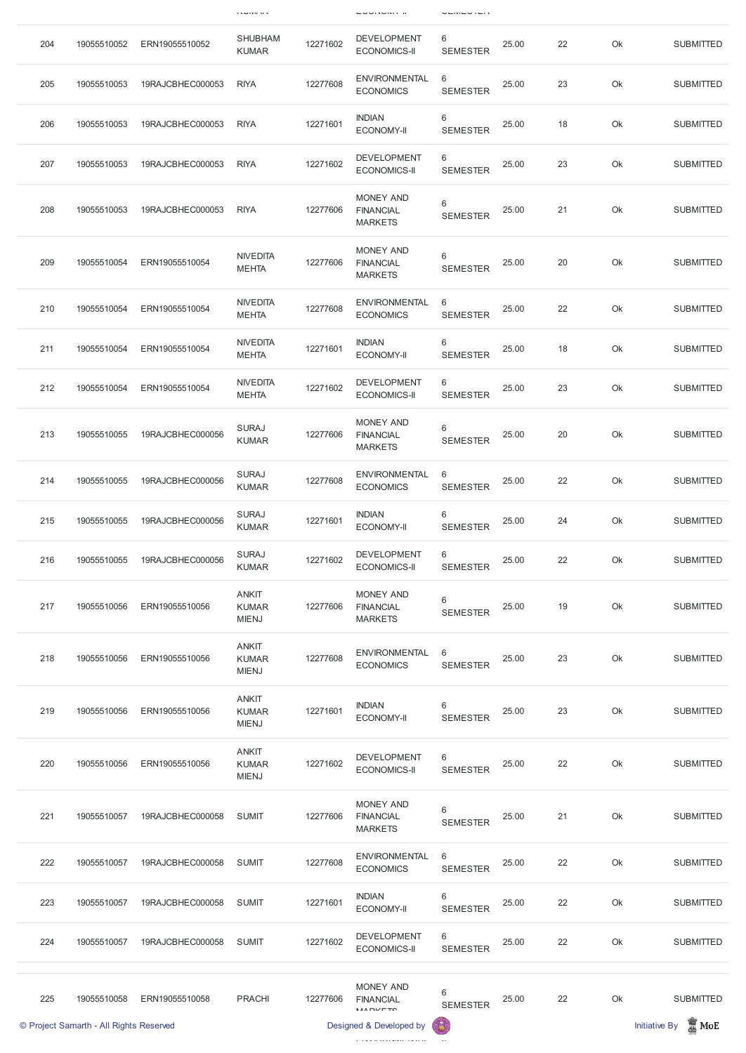|     |             |                  | <b>INVIRIES</b>                              |          | <b>LUURVINI II</b>                                     |                      |       |    |    |                  |
|-----|-------------|------------------|----------------------------------------------|----------|--------------------------------------------------------|----------------------|-------|----|----|------------------|
| 204 | 19055510052 | ERN19055510052   | <b>SHUBHAM</b><br><b>KUMAR</b>               | 12271602 | <b>DEVELOPMENT</b><br><b>ECONOMICS-II</b>              | 6<br><b>SEMESTER</b> | 25.00 | 22 | Ok | <b>SUBMITTED</b> |
| 205 | 19055510053 | 19RAJCBHEC000053 | <b>RIYA</b>                                  | 12277608 | <b>ENVIRONMENTAL</b><br><b>ECONOMICS</b>               | 6<br><b>SEMESTER</b> | 25.00 | 23 | Ok | <b>SUBMITTED</b> |
| 206 | 19055510053 | 19RAJCBHEC000053 | <b>RIYA</b>                                  | 12271601 | <b>INDIAN</b><br><b>ECONOMY-II</b>                     | 6<br><b>SEMESTER</b> | 25.00 | 18 | Ok | <b>SUBMITTED</b> |
| 207 | 19055510053 | 19RAJCBHEC000053 | <b>RIYA</b>                                  | 12271602 | <b>DEVELOPMENT</b><br><b>ECONOMICS-II</b>              | 6<br><b>SEMESTER</b> | 25.00 | 23 | Ok | <b>SUBMITTED</b> |
| 208 | 19055510053 | 19RAJCBHEC000053 | <b>RIYA</b>                                  | 12277606 | <b>MONEY AND</b><br><b>FINANCIAL</b><br><b>MARKETS</b> | 6<br><b>SEMESTER</b> | 25.00 | 21 | Ok | <b>SUBMITTED</b> |
| 209 | 19055510054 | ERN19055510054   | <b>NIVEDITA</b><br><b>MEHTA</b>              | 12277606 | <b>MONEY AND</b><br><b>FINANCIAL</b><br><b>MARKETS</b> | 6<br><b>SEMESTER</b> | 25.00 | 20 | Ok | <b>SUBMITTED</b> |
| 210 | 19055510054 | ERN19055510054   | <b>NIVEDITA</b><br><b>MEHTA</b>              | 12277608 | <b>ENVIRONMENTAL</b><br><b>ECONOMICS</b>               | 6<br><b>SEMESTER</b> | 25.00 | 22 | Ok | <b>SUBMITTED</b> |
| 211 | 19055510054 | ERN19055510054   | <b>NIVEDITA</b><br><b>MEHTA</b>              | 12271601 | <b>INDIAN</b><br><b>ECONOMY-II</b>                     | 6<br><b>SEMESTER</b> | 25.00 | 18 | Ok | <b>SUBMITTED</b> |
| 212 | 19055510054 | ERN19055510054   | <b>NIVEDITA</b><br><b>MEHTA</b>              | 12271602 | <b>DEVELOPMENT</b><br><b>ECONOMICS-II</b>              | 6<br><b>SEMESTER</b> | 25.00 | 23 | Ok | <b>SUBMITTED</b> |
| 213 | 19055510055 | 19RAJCBHEC000056 | <b>SURAJ</b><br><b>KUMAR</b>                 | 12277606 | <b>MONEY AND</b><br><b>FINANCIAL</b><br><b>MARKETS</b> | 6<br><b>SEMESTER</b> | 25.00 | 20 | Ok | <b>SUBMITTED</b> |
| 214 | 19055510055 | 19RAJCBHEC000056 | <b>SURAJ</b><br><b>KUMAR</b>                 | 12277608 | <b>ENVIRONMENTAL</b><br><b>ECONOMICS</b>               | 6<br><b>SEMESTER</b> | 25.00 | 22 | Ok | <b>SUBMITTED</b> |
| 215 | 19055510055 | 19RAJCBHEC000056 | <b>SURAJ</b><br><b>KUMAR</b>                 | 12271601 | <b>INDIAN</b><br><b>ECONOMY-II</b>                     | 6<br><b>SEMESTER</b> | 25.00 | 24 | Ok | <b>SUBMITTED</b> |
| 216 | 19055510055 | 19RAJCBHEC000056 | <b>SURAJ</b><br><b>KUMAR</b>                 | 12271602 | <b>DEVELOPMENT</b><br><b>ECONOMICS-II</b>              | 6<br><b>SEMESTER</b> | 25.00 | 22 | Ok | <b>SUBMITTED</b> |
| 217 | 19055510056 | ERN19055510056   | <b>ANKIT</b><br><b>KUMAR</b><br><b>MIENJ</b> | 12277606 | <b>MONEY AND</b><br><b>FINANCIAL</b><br><b>MARKETS</b> | 6<br><b>SEMESTER</b> | 25.00 | 19 | Ok | <b>SUBMITTED</b> |
| 218 | 19055510056 | ERN19055510056   | <b>ANKIT</b><br><b>KUMAR</b><br><b>MIENJ</b> | 12277608 | <b>ENVIRONMENTAL</b><br><b>ECONOMICS</b>               | 6<br><b>SEMESTER</b> | 25.00 | 23 | Ok | <b>SUBMITTED</b> |
| 219 | 19055510056 | ERN19055510056   | <b>ANKIT</b><br><b>KUMAR</b><br><b>MIENJ</b> | 12271601 | <b>INDIAN</b><br><b>ECONOMY-II</b>                     | 6<br><b>SEMESTER</b> | 25.00 | 23 | Ok | <b>SUBMITTED</b> |
| 220 | 19055510056 | ERN19055510056   | <b>ANKIT</b><br><b>KUMAR</b><br><b>MIENJ</b> | 12271602 | <b>DEVELOPMENT</b><br><b>ECONOMICS-II</b>              | 6<br><b>SEMESTER</b> | 25.00 | 22 | Ok | <b>SUBMITTED</b> |

|     | © Project Samarth - All Rights Reserved |                  |               |          | Designed & Developed by                                 | 6                                 |       |    |    | $\blacksquare$ MoE<br><b>Initiative By</b> |
|-----|-----------------------------------------|------------------|---------------|----------|---------------------------------------------------------|-----------------------------------|-------|----|----|--------------------------------------------|
| 225 | 19055510058                             | ERN19055510058   | <b>PRACHI</b> | 12277606 | <b>MONEY AND</b><br><b>FINANCIAL</b><br><b>MADIZETC</b> | 6<br><b>SEMESTER</b>              | 25.00 | 22 | Ok | <b>SUBMITTED</b>                           |
| 224 | 19055510057                             | 19RAJCBHEC000058 | <b>SUMIT</b>  | 12271602 | <b>DEVELOPMENT</b><br><b>ECONOMICS-II</b>               | 6<br><b>SEMESTER</b>              | 25.00 | 22 | Ok | <b>SUBMITTED</b>                           |
| 223 | 19055510057                             | 19RAJCBHEC000058 | <b>SUMIT</b>  | 12271601 | <b>INDIAN</b><br><b>ECONOMY-II</b>                      | $6\phantom{1}$<br><b>SEMESTER</b> | 25.00 | 22 | Ok | <b>SUBMITTED</b>                           |
| 222 | 19055510057                             | 19RAJCBHEC000058 | <b>SUMIT</b>  | 12277608 | <b>ENVIRONMENTAL</b><br><b>ECONOMICS</b>                | 6<br><b>SEMESTER</b>              | 25.00 | 22 | Ok | <b>SUBMITTED</b>                           |
| 221 | 19055510057                             | 19RAJCBHEC000058 | <b>SUMIT</b>  | 12277606 | <b>MONEY AND</b><br><b>FINANCIAL</b><br><b>MARKETS</b>  | 6<br><b>SEMESTER</b>              | 25.00 | 21 | Ok | <b>SUBMITTED</b>                           |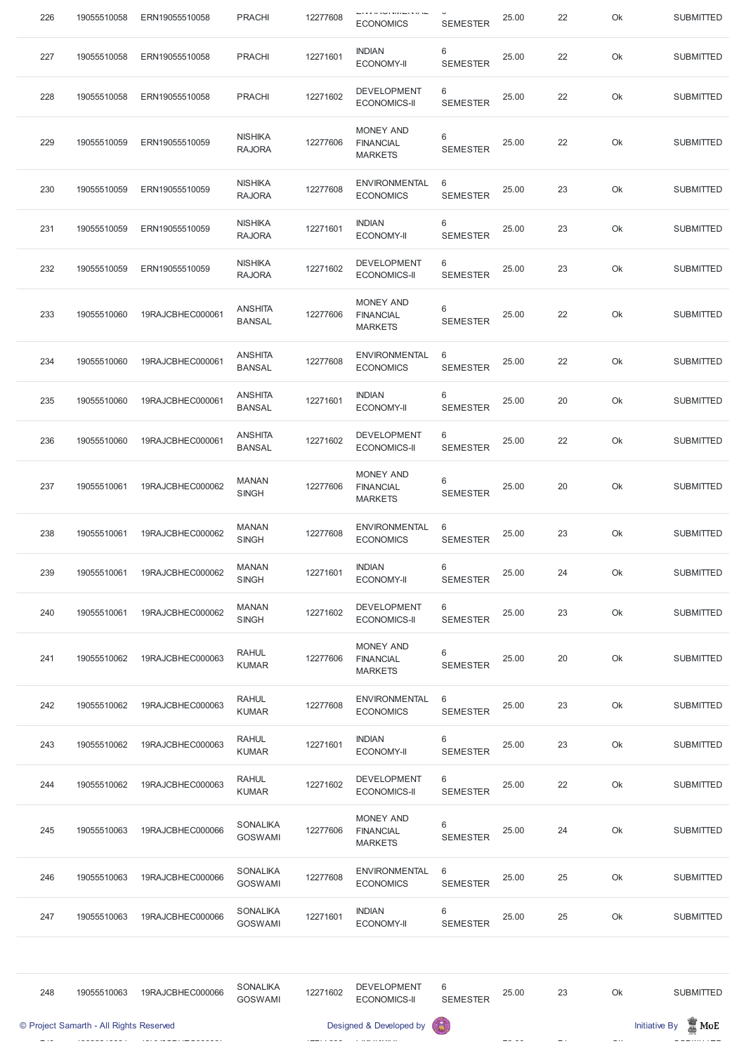| 226 | 19055510058 | ERN19055510058   | <b>PRACHI</b>                   | 12277608 | <b>ECONOMICS</b>                                       | <b>SEMESTER</b>      | 25.00 | 22 | Ok | <b>SUBMITTED</b> |
|-----|-------------|------------------|---------------------------------|----------|--------------------------------------------------------|----------------------|-------|----|----|------------------|
| 227 | 19055510058 | ERN19055510058   | <b>PRACHI</b>                   | 12271601 | <b>INDIAN</b><br><b>ECONOMY-II</b>                     | 6<br><b>SEMESTER</b> | 25.00 | 22 | Ok | <b>SUBMITTED</b> |
| 228 | 19055510058 | ERN19055510058   | <b>PRACHI</b>                   | 12271602 | <b>DEVELOPMENT</b><br><b>ECONOMICS-II</b>              | 6<br><b>SEMESTER</b> | 25.00 | 22 | Ok | <b>SUBMITTED</b> |
| 229 | 19055510059 | ERN19055510059   | <b>NISHIKA</b><br><b>RAJORA</b> | 12277606 | <b>MONEY AND</b><br><b>FINANCIAL</b><br><b>MARKETS</b> | 6<br><b>SEMESTER</b> | 25.00 | 22 | Ok | <b>SUBMITTED</b> |
| 230 | 19055510059 | ERN19055510059   | <b>NISHIKA</b><br><b>RAJORA</b> | 12277608 | <b>ENVIRONMENTAL</b><br><b>ECONOMICS</b>               | 6<br><b>SEMESTER</b> | 25.00 | 23 | Ok | <b>SUBMITTED</b> |
| 231 | 19055510059 | ERN19055510059   | <b>NISHIKA</b><br><b>RAJORA</b> | 12271601 | <b>INDIAN</b><br><b>ECONOMY-II</b>                     | 6<br><b>SEMESTER</b> | 25.00 | 23 | Ok | <b>SUBMITTED</b> |
| 232 | 19055510059 | ERN19055510059   | <b>NISHIKA</b><br><b>RAJORA</b> | 12271602 | <b>DEVELOPMENT</b><br><b>ECONOMICS-II</b>              | 6<br><b>SEMESTER</b> | 25.00 | 23 | Ok | <b>SUBMITTED</b> |
| 233 | 19055510060 | 19RAJCBHEC000061 | <b>ANSHITA</b><br><b>BANSAL</b> | 12277606 | <b>MONEY AND</b><br><b>FINANCIAL</b><br><b>MARKETS</b> | 6<br><b>SEMESTER</b> | 25.00 | 22 | Ok | <b>SUBMITTED</b> |
| 234 | 19055510060 | 19RAJCBHEC000061 | <b>ANSHITA</b><br><b>BANSAL</b> | 12277608 | <b>ENVIRONMENTAL</b><br><b>ECONOMICS</b>               | 6<br><b>SEMESTER</b> | 25.00 | 22 | Ok | <b>SUBMITTED</b> |
| 235 | 19055510060 | 19RAJCBHEC000061 | <b>ANSHITA</b><br><b>BANSAL</b> | 12271601 | <b>INDIAN</b><br><b>ECONOMY-II</b>                     | 6<br><b>SEMESTER</b> | 25.00 | 20 | Ok | <b>SUBMITTED</b> |
| 236 | 19055510060 | 19RAJCBHEC000061 | <b>ANSHITA</b><br><b>BANSAL</b> | 12271602 | <b>DEVELOPMENT</b><br><b>ECONOMICS-II</b>              | 6<br><b>SEMESTER</b> | 25.00 | 22 | Ok | <b>SUBMITTED</b> |
| 237 | 19055510061 | 19RAJCBHEC000062 | <b>MANAN</b><br><b>SINGH</b>    | 12277606 | MONEY AND<br><b>FINANCIAL</b><br><b>MARKETS</b>        | 6<br><b>SEMESTER</b> | 25.00 | 20 | Ok | <b>SUBMITTED</b> |
| 238 | 19055510061 | 19RAJCBHEC000062 | <b>MANAN</b><br><b>SINGH</b>    | 12277608 | <b>ENVIRONMENTAL</b><br><b>ECONOMICS</b>               | 6<br><b>SEMESTER</b> | 25.00 | 23 | Ok | <b>SUBMITTED</b> |
| 239 | 19055510061 | 19RAJCBHEC000062 | <b>MANAN</b><br><b>SINGH</b>    | 12271601 | <b>INDIAN</b><br><b>ECONOMY-II</b>                     | 6<br><b>SEMESTER</b> | 25.00 | 24 | Ok | <b>SUBMITTED</b> |
| 240 | 19055510061 | 19RAJCBHEC000062 | <b>MANAN</b><br><b>SINGH</b>    | 12271602 | <b>DEVELOPMENT</b><br><b>ECONOMICS-II</b>              | 6<br><b>SEMESTER</b> | 25.00 | 23 | Ok | <b>SUBMITTED</b> |
| 241 | 19055510062 | 19RAJCBHEC000063 | <b>RAHUL</b><br><b>KUMAR</b>    | 12277606 | <b>MONEY AND</b><br><b>FINANCIAL</b><br><b>MARKETS</b> | 6<br><b>SEMESTER</b> | 25.00 | 20 | Ok | <b>SUBMITTED</b> |
| 242 | 19055510062 | 19RAJCBHEC000063 | <b>RAHUL</b><br><b>KUMAR</b>    | 12277608 | <b>ENVIRONMENTAL</b><br><b>ECONOMICS</b>               | 6<br><b>SEMESTER</b> | 25.00 | 23 | Ok | <b>SUBMITTED</b> |
| 243 | 19055510062 | 19RAJCBHEC000063 | <b>RAHUL</b><br><b>KUMAR</b>    | 12271601 | <b>INDIAN</b><br><b>ECONOMY-II</b>                     | 6<br><b>SEMESTER</b> | 25.00 | 23 | Ok | <b>SUBMITTED</b> |
| 244 | 19055510062 | 19RAJCBHEC000063 | <b>RAHUL</b><br><b>KUMAR</b>    | 12271602 | <b>DEVELOPMENT</b><br><b>ECONOMICS-II</b>              | 6<br><b>SEMESTER</b> | 25.00 | 22 | Ok | <b>SUBMITTED</b> |

|     | © Project Samarth - All Rights Reserved |                  |                                   |          | Designed & Developed by                                | G                                  |       |    |    | $\blacksquare$ MoE<br>Initiative By |
|-----|-----------------------------------------|------------------|-----------------------------------|----------|--------------------------------------------------------|------------------------------------|-------|----|----|-------------------------------------|
| 248 | 19055510063                             | 19RAJCBHEC000066 | <b>SONALIKA</b><br><b>GOSWAMI</b> | 12271602 | <b>DEVELOPMENT</b><br><b>ECONOMICS-II</b>              | 6<br><b>SEMESTER</b>               | 25.00 | 23 | Ok | <b>SUBMITTED</b>                    |
|     |                                         |                  |                                   |          |                                                        |                                    |       |    |    |                                     |
| 247 | 19055510063                             | 19RAJCBHEC000066 | <b>SONALIKA</b><br><b>GOSWAMI</b> | 12271601 | <b>INDIAN</b><br><b>ECONOMY-II</b>                     | 6<br><b>SEMESTER</b>               | 25.00 | 25 | Ok | <b>SUBMITTED</b>                    |
| 246 | 19055510063                             | 19RAJCBHEC000066 | <b>SONALIKA</b><br><b>GOSWAMI</b> | 12277608 | <b>ENVIRONMENTAL</b><br><b>ECONOMICS</b>               | 6<br><b>SEMESTER</b>               | 25.00 | 25 | Ok | <b>SUBMITTED</b>                    |
| 245 | 19055510063                             | 19RAJCBHEC000066 | <b>SONALIKA</b><br><b>GOSWAMI</b> | 12277606 | <b>MONEY AND</b><br><b>FINANCIAL</b><br><b>MARKETS</b> | $6\phantom{1}6$<br><b>SEMESTER</b> | 25.00 | 24 | Ok | <b>SUBMITTED</b>                    |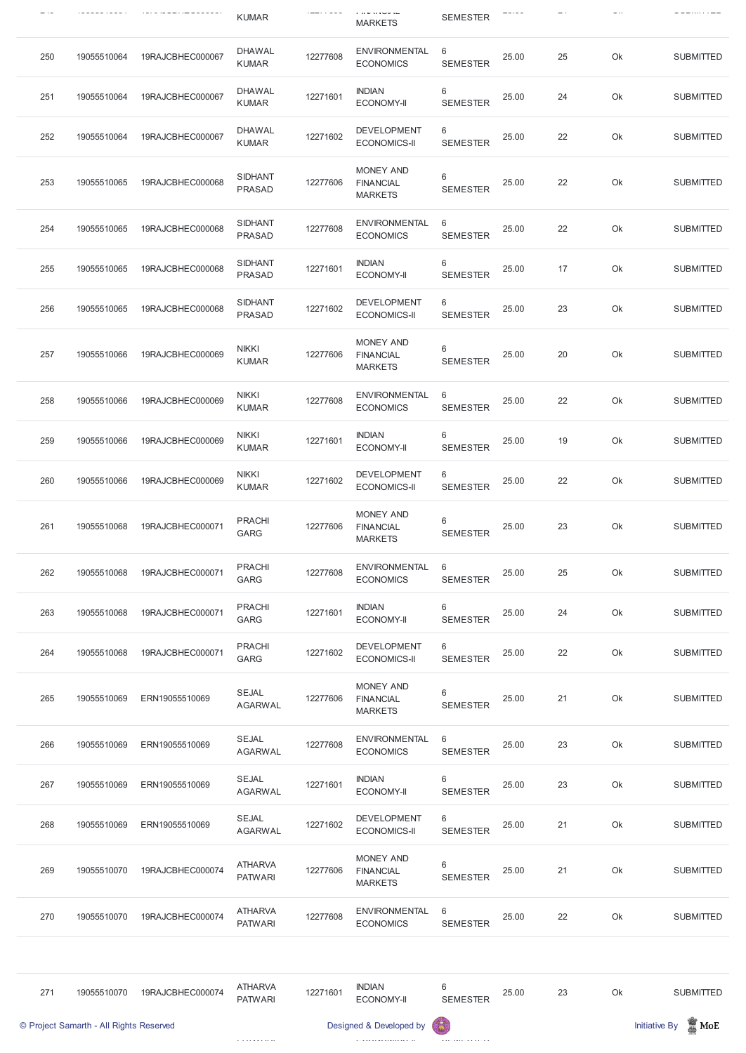|     |             |                  | <b>KUMAR</b>                    |          | ם משפח את ה<br><b>MARKETS</b>                          | <b>SEMESTER</b>      |       |    |    | --------         |
|-----|-------------|------------------|---------------------------------|----------|--------------------------------------------------------|----------------------|-------|----|----|------------------|
| 250 | 19055510064 | 19RAJCBHEC000067 | <b>DHAWAL</b><br><b>KUMAR</b>   | 12277608 | <b>ENVIRONMENTAL</b><br><b>ECONOMICS</b>               | 6<br><b>SEMESTER</b> | 25.00 | 25 | Ok | <b>SUBMITTED</b> |
| 251 | 19055510064 | 19RAJCBHEC000067 | <b>DHAWAL</b><br><b>KUMAR</b>   | 12271601 | <b>INDIAN</b><br><b>ECONOMY-II</b>                     | 6<br><b>SEMESTER</b> | 25.00 | 24 | Ok | <b>SUBMITTED</b> |
| 252 | 19055510064 | 19RAJCBHEC000067 | <b>DHAWAL</b><br><b>KUMAR</b>   | 12271602 | <b>DEVELOPMENT</b><br><b>ECONOMICS-II</b>              | 6<br><b>SEMESTER</b> | 25.00 | 22 | Ok | <b>SUBMITTED</b> |
| 253 | 19055510065 | 19RAJCBHEC000068 | <b>SIDHANT</b><br><b>PRASAD</b> | 12277606 | <b>MONEY AND</b><br><b>FINANCIAL</b><br><b>MARKETS</b> | 6<br><b>SEMESTER</b> | 25.00 | 22 | Ok | <b>SUBMITTED</b> |
| 254 | 19055510065 | 19RAJCBHEC000068 | <b>SIDHANT</b><br><b>PRASAD</b> | 12277608 | <b>ENVIRONMENTAL</b><br><b>ECONOMICS</b>               | 6<br><b>SEMESTER</b> | 25.00 | 22 | Ok | <b>SUBMITTED</b> |
| 255 | 19055510065 | 19RAJCBHEC000068 | <b>SIDHANT</b><br><b>PRASAD</b> | 12271601 | <b>INDIAN</b><br><b>ECONOMY-II</b>                     | 6<br><b>SEMESTER</b> | 25.00 | 17 | Ok | <b>SUBMITTED</b> |
| 256 | 19055510065 | 19RAJCBHEC000068 | <b>SIDHANT</b><br><b>PRASAD</b> | 12271602 | <b>DEVELOPMENT</b><br><b>ECONOMICS-II</b>              | 6<br><b>SEMESTER</b> | 25.00 | 23 | Ok | <b>SUBMITTED</b> |
| 257 | 19055510066 | 19RAJCBHEC000069 | <b>NIKKI</b><br><b>KUMAR</b>    | 12277606 | <b>MONEY AND</b><br><b>FINANCIAL</b><br><b>MARKETS</b> | 6<br><b>SEMESTER</b> | 25.00 | 20 | Ok | <b>SUBMITTED</b> |
| 258 | 19055510066 | 19RAJCBHEC000069 | <b>NIKKI</b><br><b>KUMAR</b>    | 12277608 | <b>ENVIRONMENTAL</b><br><b>ECONOMICS</b>               | 6<br><b>SEMESTER</b> | 25.00 | 22 | Ok | <b>SUBMITTED</b> |
| 259 | 19055510066 | 19RAJCBHEC000069 | <b>NIKKI</b><br><b>KUMAR</b>    | 12271601 | <b>INDIAN</b><br><b>ECONOMY-II</b>                     | 6<br><b>SEMESTER</b> | 25.00 | 19 | Ok | <b>SUBMITTED</b> |
| 260 | 19055510066 | 19RAJCBHEC000069 | <b>NIKKI</b><br><b>KUMAR</b>    | 12271602 | <b>DEVELOPMENT</b><br><b>ECONOMICS-II</b>              | 6<br><b>SEMESTER</b> | 25.00 | 22 | Ok | <b>SUBMITTED</b> |
| 261 | 19055510068 | 19RAJCBHEC000071 | <b>PRACHI</b><br>GARG           | 12277606 | <b>MONEY AND</b><br><b>FINANCIAL</b><br><b>MARKETS</b> | 6<br><b>SEMESTER</b> | 25.00 | 23 | Ok | <b>SUBMITTED</b> |
| 262 | 19055510068 | 19RAJCBHEC000071 | <b>PRACHI</b><br>GARG           | 12277608 | <b>ENVIRONMENTAL</b><br><b>ECONOMICS</b>               | 6<br><b>SEMESTER</b> | 25.00 | 25 | Ok | <b>SUBMITTED</b> |
| 263 | 19055510068 | 19RAJCBHEC000071 | <b>PRACHI</b><br>GARG           | 12271601 | <b>INDIAN</b><br><b>ECONOMY-II</b>                     | 6<br><b>SEMESTER</b> | 25.00 | 24 | Ok | <b>SUBMITTED</b> |
| 264 | 19055510068 | 19RAJCBHEC000071 | <b>PRACHI</b><br><b>GARG</b>    | 12271602 | <b>DEVELOPMENT</b><br><b>ECONOMICS-II</b>              | 6<br><b>SEMESTER</b> | 25.00 | 22 | Ok | <b>SUBMITTED</b> |
| 265 | 19055510069 | ERN19055510069   | <b>SEJAL</b><br><b>AGARWAL</b>  | 12277606 | <b>MONEY AND</b><br><b>FINANCIAL</b><br><b>MARKETS</b> | 6<br><b>SEMESTER</b> | 25.00 | 21 | Ok | <b>SUBMITTED</b> |
| 266 | 19055510069 | ERN19055510069   | <b>SEJAL</b><br><b>AGARWAL</b>  | 12277608 | <b>ENVIRONMENTAL</b><br><b>ECONOMICS</b>               | 6<br><b>SEMESTER</b> | 25.00 | 23 | Ok | <b>SUBMITTED</b> |
| 267 | 19055510069 | ERN19055510069   | <b>SEJAL</b><br><b>AGARWAL</b>  | 12271601 | <b>INDIAN</b><br><b>ECONOMY-II</b>                     | 6<br><b>SEMESTER</b> | 25.00 | 23 | Ok | <b>SUBMITTED</b> |

|     | © Project Samarth - All Rights Reserved |                  |                                  |          | Designed & Developed by                                | 63                                 |       |    | <b>Initiative By</b> | $\frac{1}{20}$ MoE |
|-----|-----------------------------------------|------------------|----------------------------------|----------|--------------------------------------------------------|------------------------------------|-------|----|----------------------|--------------------|
| 271 | 19055510070                             | 19RAJCBHEC000074 | <b>ATHARVA</b><br><b>PATWARI</b> | 12271601 | <b>INDIAN</b><br><b>ECONOMY-II</b>                     | $6\phantom{1}6$<br><b>SEMESTER</b> | 25.00 | 23 | Ok                   | <b>SUBMITTED</b>   |
| 270 | 19055510070                             | 19RAJCBHEC000074 | <b>ATHARVA</b><br><b>PATWARI</b> | 12277608 | <b>ENVIRONMENTAL</b><br><b>ECONOMICS</b>               | 6<br><b>SEMESTER</b>               | 25.00 | 22 | Ok                   | <b>SUBMITTED</b>   |
| 269 | 19055510070                             | 19RAJCBHEC000074 | <b>ATHARVA</b><br><b>PATWARI</b> | 12277606 | <b>MONEY AND</b><br><b>FINANCIAL</b><br><b>MARKETS</b> | 6<br><b>SEMESTER</b>               | 25.00 | 21 | Ok                   | <b>SUBMITTED</b>   |
| 268 | 19055510069                             | ERN19055510069   | <b>SEJAL</b><br><b>AGARWAL</b>   | 12271602 | <b>DEVELOPMENT</b><br><b>ECONOMICS-II</b>              | 6<br><b>SEMESTER</b>               | 25.00 | 21 | Ok                   | <b>SUBMITTED</b>   |